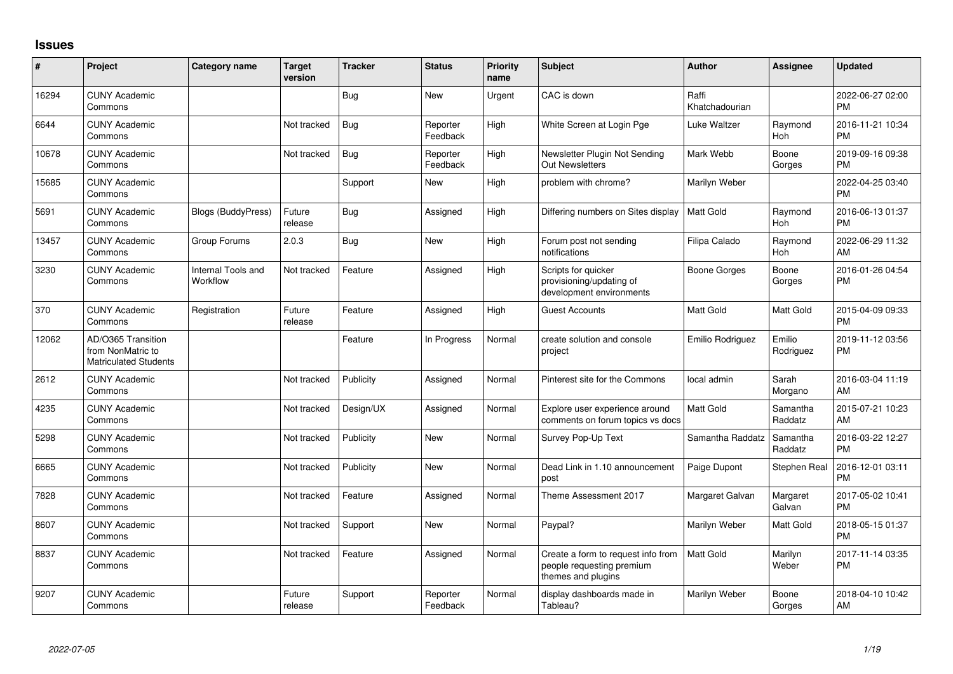## **Issues**

| ∦     | Project                                                                 | Category name                  | Target<br>version | <b>Tracker</b> | <b>Status</b>        | <b>Priority</b><br>name | <b>Subject</b>                                                                        | <b>Author</b>           | <b>Assignee</b>     | <b>Updated</b>                |
|-------|-------------------------------------------------------------------------|--------------------------------|-------------------|----------------|----------------------|-------------------------|---------------------------------------------------------------------------------------|-------------------------|---------------------|-------------------------------|
| 16294 | <b>CUNY Academic</b><br>Commons                                         |                                |                   | Bug            | <b>New</b>           | Urgent                  | CAC is down                                                                           | Raffi<br>Khatchadourian |                     | 2022-06-27 02:00<br><b>PM</b> |
| 6644  | <b>CUNY Academic</b><br>Commons                                         |                                | Not tracked       | Bug            | Reporter<br>Feedback | High                    | White Screen at Login Pge                                                             | Luke Waltzer            | Raymond<br>Hoh      | 2016-11-21 10:34<br><b>PM</b> |
| 10678 | <b>CUNY Academic</b><br>Commons                                         |                                | Not tracked       | Bug            | Reporter<br>Feedback | High                    | Newsletter Plugin Not Sending<br><b>Out Newsletters</b>                               | Mark Webb               | Boone<br>Gorges     | 2019-09-16 09:38<br><b>PM</b> |
| 15685 | <b>CUNY Academic</b><br>Commons                                         |                                |                   | Support        | <b>New</b>           | High                    | problem with chrome?                                                                  | Marilyn Weber           |                     | 2022-04-25 03:40<br><b>PM</b> |
| 5691  | <b>CUNY Academic</b><br>Commons                                         | <b>Blogs (BuddyPress)</b>      | Future<br>release | Bug            | Assigned             | High                    | Differing numbers on Sites display                                                    | l Matt Gold             | Raymond<br>Hoh      | 2016-06-13 01:37<br><b>PM</b> |
| 13457 | <b>CUNY Academic</b><br>Commons                                         | Group Forums                   | 2.0.3             | Bug            | <b>New</b>           | High                    | Forum post not sending<br>notifications                                               | Filipa Calado           | Raymond<br>Hoh      | 2022-06-29 11:32<br>AM        |
| 3230  | <b>CUNY Academic</b><br>Commons                                         | Internal Tools and<br>Workflow | Not tracked       | Feature        | Assigned             | High                    | Scripts for quicker<br>provisioning/updating of<br>development environments           | Boone Gorges            | Boone<br>Gorges     | 2016-01-26 04:54<br><b>PM</b> |
| 370   | <b>CUNY Academic</b><br>Commons                                         | Registration                   | Future<br>release | Feature        | Assigned             | High                    | <b>Guest Accounts</b>                                                                 | <b>Matt Gold</b>        | Matt Gold           | 2015-04-09 09:33<br><b>PM</b> |
| 12062 | AD/O365 Transition<br>from NonMatric to<br><b>Matriculated Students</b> |                                |                   | Feature        | In Progress          | Normal                  | create solution and console<br>project                                                | Emilio Rodriguez        | Emilio<br>Rodriguez | 2019-11-12 03:56<br><b>PM</b> |
| 2612  | <b>CUNY Academic</b><br>Commons                                         |                                | Not tracked       | Publicity      | Assigned             | Normal                  | Pinterest site for the Commons                                                        | local admin             | Sarah<br>Morgano    | 2016-03-04 11:19<br>AM        |
| 4235  | <b>CUNY Academic</b><br>Commons                                         |                                | Not tracked       | Design/UX      | Assigned             | Normal                  | Explore user experience around<br>comments on forum topics vs docs                    | <b>Matt Gold</b>        | Samantha<br>Raddatz | 2015-07-21 10:23<br>AM        |
| 5298  | <b>CUNY Academic</b><br>Commons                                         |                                | Not tracked       | Publicity      | <b>New</b>           | Normal                  | Survey Pop-Up Text                                                                    | Samantha Raddatz        | Samantha<br>Raddatz | 2016-03-22 12:27<br><b>PM</b> |
| 6665  | <b>CUNY Academic</b><br>Commons                                         |                                | Not tracked       | Publicity      | <b>New</b>           | Normal                  | Dead Link in 1.10 announcement<br>post                                                | Paige Dupont            | Stephen Real        | 2016-12-01 03:11<br><b>PM</b> |
| 7828  | <b>CUNY Academic</b><br>Commons                                         |                                | Not tracked       | Feature        | Assigned             | Normal                  | Theme Assessment 2017                                                                 | Margaret Galvan         | Margaret<br>Galvan  | 2017-05-02 10:41<br><b>PM</b> |
| 8607  | <b>CUNY Academic</b><br>Commons                                         |                                | Not tracked       | Support        | <b>New</b>           | Normal                  | Paypal?                                                                               | Marilyn Weber           | Matt Gold           | 2018-05-15 01:37<br><b>PM</b> |
| 8837  | <b>CUNY Academic</b><br>Commons                                         |                                | Not tracked       | Feature        | Assigned             | Normal                  | Create a form to request info from<br>people requesting premium<br>themes and plugins | <b>Matt Gold</b>        | Marilyn<br>Weber    | 2017-11-14 03:35<br><b>PM</b> |
| 9207  | <b>CUNY Academic</b><br>Commons                                         |                                | Future<br>release | Support        | Reporter<br>Feedback | Normal                  | display dashboards made in<br>Tableau?                                                | Marilyn Weber           | Boone<br>Gorges     | 2018-04-10 10:42<br>AM        |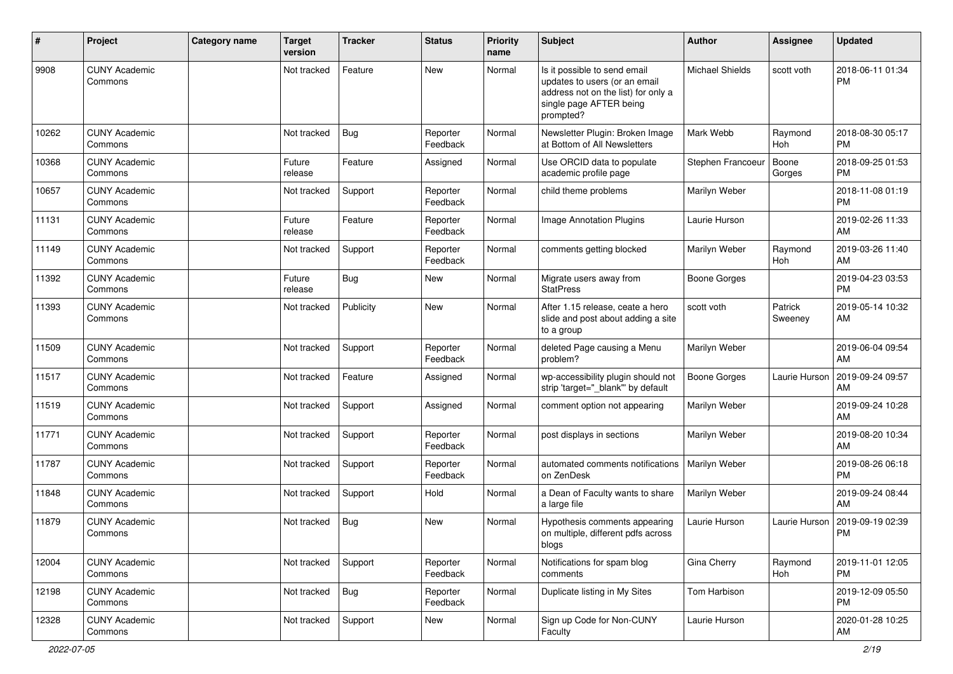| #     | Project                         | Category name | <b>Target</b><br>version | <b>Tracker</b> | <b>Status</b>        | <b>Priority</b><br>name | Subject                                                                                                                                      | Author              | <b>Assignee</b>    | <b>Updated</b>                |
|-------|---------------------------------|---------------|--------------------------|----------------|----------------------|-------------------------|----------------------------------------------------------------------------------------------------------------------------------------------|---------------------|--------------------|-------------------------------|
| 9908  | <b>CUNY Academic</b><br>Commons |               | Not tracked              | Feature        | <b>New</b>           | Normal                  | Is it possible to send email<br>updates to users (or an email<br>address not on the list) for only a<br>single page AFTER being<br>prompted? | Michael Shields     | scott voth         | 2018-06-11 01:34<br>PM        |
| 10262 | <b>CUNY Academic</b><br>Commons |               | Not tracked              | Bug            | Reporter<br>Feedback | Normal                  | Newsletter Plugin: Broken Image<br>at Bottom of All Newsletters                                                                              | Mark Webb           | Raymond<br>Hoh     | 2018-08-30 05:17<br><b>PM</b> |
| 10368 | <b>CUNY Academic</b><br>Commons |               | Future<br>release        | Feature        | Assigned             | Normal                  | Use ORCID data to populate<br>academic profile page                                                                                          | Stephen Francoeur   | Boone<br>Gorges    | 2018-09-25 01:53<br><b>PM</b> |
| 10657 | <b>CUNY Academic</b><br>Commons |               | Not tracked              | Support        | Reporter<br>Feedback | Normal                  | child theme problems                                                                                                                         | Marilyn Weber       |                    | 2018-11-08 01:19<br><b>PM</b> |
| 11131 | <b>CUNY Academic</b><br>Commons |               | Future<br>release        | Feature        | Reporter<br>Feedback | Normal                  | Image Annotation Plugins                                                                                                                     | Laurie Hurson       |                    | 2019-02-26 11:33<br>AM        |
| 11149 | <b>CUNY Academic</b><br>Commons |               | Not tracked              | Support        | Reporter<br>Feedback | Normal                  | comments getting blocked                                                                                                                     | Marilyn Weber       | Raymond<br>Hoh     | 2019-03-26 11:40<br>AM        |
| 11392 | <b>CUNY Academic</b><br>Commons |               | Future<br>release        | Bug            | New                  | Normal                  | Migrate users away from<br><b>StatPress</b>                                                                                                  | <b>Boone Gorges</b> |                    | 2019-04-23 03:53<br><b>PM</b> |
| 11393 | <b>CUNY Academic</b><br>Commons |               | Not tracked              | Publicity      | <b>New</b>           | Normal                  | After 1.15 release, ceate a hero<br>slide and post about adding a site<br>to a group                                                         | scott voth          | Patrick<br>Sweeney | 2019-05-14 10:32<br>AM        |
| 11509 | <b>CUNY Academic</b><br>Commons |               | Not tracked              | Support        | Reporter<br>Feedback | Normal                  | deleted Page causing a Menu<br>problem?                                                                                                      | Marilyn Weber       |                    | 2019-06-04 09:54<br>AM        |
| 11517 | <b>CUNY Academic</b><br>Commons |               | Not tracked              | Feature        | Assigned             | Normal                  | wp-accessibility plugin should not<br>strip 'target="_blank" by default                                                                      | <b>Boone Gorges</b> | Laurie Hurson      | 2019-09-24 09:57<br>AM        |
| 11519 | <b>CUNY Academic</b><br>Commons |               | Not tracked              | Support        | Assigned             | Normal                  | comment option not appearing                                                                                                                 | Marilyn Weber       |                    | 2019-09-24 10:28<br>AM        |
| 11771 | <b>CUNY Academic</b><br>Commons |               | Not tracked              | Support        | Reporter<br>Feedback | Normal                  | post displays in sections                                                                                                                    | Marilyn Weber       |                    | 2019-08-20 10:34<br>AM        |
| 11787 | <b>CUNY Academic</b><br>Commons |               | Not tracked              | Support        | Reporter<br>Feedback | Normal                  | automated comments notifications<br>on ZenDesk                                                                                               | Marilyn Weber       |                    | 2019-08-26 06:18<br><b>PM</b> |
| 11848 | <b>CUNY Academic</b><br>Commons |               | Not tracked              | Support        | Hold                 | Normal                  | a Dean of Faculty wants to share<br>a large file                                                                                             | Marilyn Weber       |                    | 2019-09-24 08:44<br>AM        |
| 11879 | <b>CUNY Academic</b><br>Commons |               | Not tracked              | Bug            | <b>New</b>           | Normal                  | Hypothesis comments appearing<br>on multiple, different pdfs across<br>blogs                                                                 | Laurie Hurson       | Laurie Hurson      | 2019-09-19 02:39<br><b>PM</b> |
| 12004 | <b>CUNY Academic</b><br>Commons |               | Not tracked              | Support        | Reporter<br>Feedback | Normal                  | Notifications for spam blog<br>comments                                                                                                      | Gina Cherry         | Raymond<br>Hoh     | 2019-11-01 12:05<br><b>PM</b> |
| 12198 | <b>CUNY Academic</b><br>Commons |               | Not tracked              | Bug            | Reporter<br>Feedback | Normal                  | Duplicate listing in My Sites                                                                                                                | Tom Harbison        |                    | 2019-12-09 05:50<br>PM        |
| 12328 | <b>CUNY Academic</b><br>Commons |               | Not tracked              | Support        | New                  | Normal                  | Sign up Code for Non-CUNY<br>Faculty                                                                                                         | Laurie Hurson       |                    | 2020-01-28 10:25<br>AM        |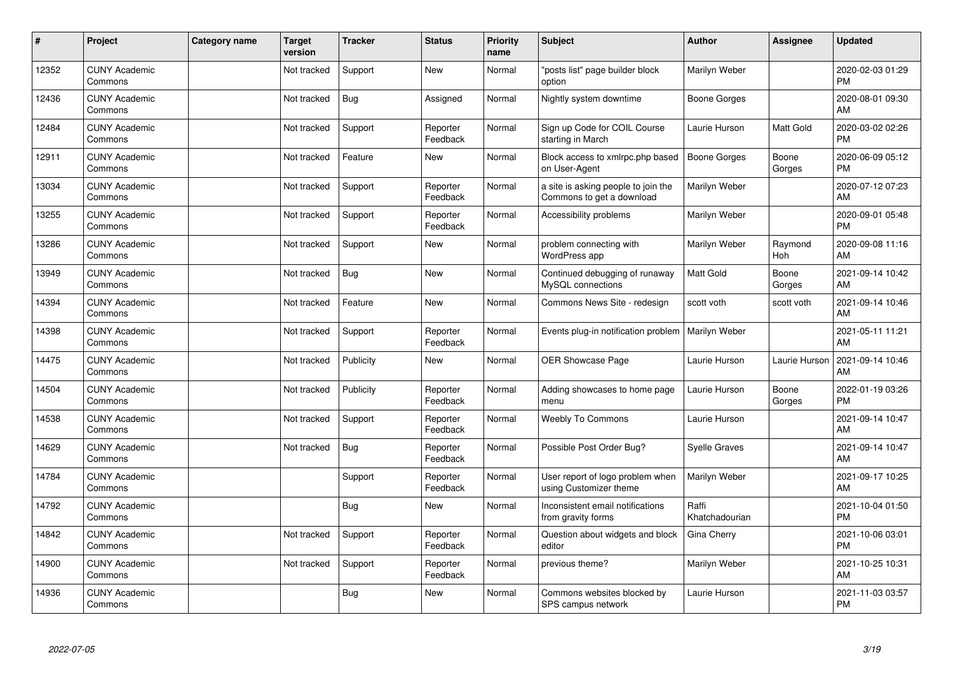| ∦     | Project                         | Category name | <b>Target</b><br>version | <b>Tracker</b> | <b>Status</b>        | <b>Priority</b><br>name | <b>Subject</b>                                                   | <b>Author</b>           | <b>Assignee</b> | <b>Updated</b>                |
|-------|---------------------------------|---------------|--------------------------|----------------|----------------------|-------------------------|------------------------------------------------------------------|-------------------------|-----------------|-------------------------------|
| 12352 | <b>CUNY Academic</b><br>Commons |               | Not tracked              | Support        | <b>New</b>           | Normal                  | "posts list" page builder block<br>option                        | Marilyn Weber           |                 | 2020-02-03 01:29<br><b>PM</b> |
| 12436 | <b>CUNY Academic</b><br>Commons |               | Not tracked              | Bug            | Assigned             | Normal                  | Nightly system downtime                                          | Boone Gorges            |                 | 2020-08-01 09:30<br>AM        |
| 12484 | <b>CUNY Academic</b><br>Commons |               | Not tracked              | Support        | Reporter<br>Feedback | Normal                  | Sign up Code for COIL Course<br>starting in March                | Laurie Hurson           | Matt Gold       | 2020-03-02 02:26<br><b>PM</b> |
| 12911 | <b>CUNY Academic</b><br>Commons |               | Not tracked              | Feature        | <b>New</b>           | Normal                  | Block access to xmlrpc.php based<br>on User-Agent                | Boone Gorges            | Boone<br>Gorges | 2020-06-09 05:12<br><b>PM</b> |
| 13034 | <b>CUNY Academic</b><br>Commons |               | Not tracked              | Support        | Reporter<br>Feedback | Normal                  | a site is asking people to join the<br>Commons to get a download | Marilyn Weber           |                 | 2020-07-12 07:23<br><b>AM</b> |
| 13255 | <b>CUNY Academic</b><br>Commons |               | Not tracked              | Support        | Reporter<br>Feedback | Normal                  | Accessibility problems                                           | Marilyn Weber           |                 | 2020-09-01 05:48<br><b>PM</b> |
| 13286 | <b>CUNY Academic</b><br>Commons |               | Not tracked              | Support        | <b>New</b>           | Normal                  | problem connecting with<br>WordPress app                         | Marilyn Weber           | Raymond<br>Hoh  | 2020-09-08 11:16<br>AM        |
| 13949 | <b>CUNY Academic</b><br>Commons |               | Not tracked              | Bug            | <b>New</b>           | Normal                  | Continued debugging of runaway<br>MySQL connections              | <b>Matt Gold</b>        | Boone<br>Gorges | 2021-09-14 10:42<br>AM        |
| 14394 | <b>CUNY Academic</b><br>Commons |               | Not tracked              | Feature        | <b>New</b>           | Normal                  | Commons News Site - redesign                                     | scott voth              | scott voth      | 2021-09-14 10:46<br>AM        |
| 14398 | <b>CUNY Academic</b><br>Commons |               | Not tracked              | Support        | Reporter<br>Feedback | Normal                  | Events plug-in notification problem                              | Marilyn Weber           |                 | 2021-05-11 11:21<br>AM        |
| 14475 | <b>CUNY Academic</b><br>Commons |               | Not tracked              | Publicity      | <b>New</b>           | Normal                  | OER Showcase Page                                                | Laurie Hurson           | Laurie Hurson   | 2021-09-14 10:46<br>AM        |
| 14504 | <b>CUNY Academic</b><br>Commons |               | Not tracked              | Publicity      | Reporter<br>Feedback | Normal                  | Adding showcases to home page<br>menu                            | Laurie Hurson           | Boone<br>Gorges | 2022-01-19 03:26<br><b>PM</b> |
| 14538 | <b>CUNY Academic</b><br>Commons |               | Not tracked              | Support        | Reporter<br>Feedback | Normal                  | <b>Weebly To Commons</b>                                         | Laurie Hurson           |                 | 2021-09-14 10:47<br>AM        |
| 14629 | <b>CUNY Academic</b><br>Commons |               | Not tracked              | <b>Bug</b>     | Reporter<br>Feedback | Normal                  | Possible Post Order Bug?                                         | <b>Syelle Graves</b>    |                 | 2021-09-14 10:47<br>AM        |
| 14784 | <b>CUNY Academic</b><br>Commons |               |                          | Support        | Reporter<br>Feedback | Normal                  | User report of logo problem when<br>using Customizer theme       | Marilyn Weber           |                 | 2021-09-17 10:25<br><b>AM</b> |
| 14792 | <b>CUNY Academic</b><br>Commons |               |                          | <b>Bug</b>     | <b>New</b>           | Normal                  | Inconsistent email notifications<br>from gravity forms           | Raffi<br>Khatchadourian |                 | 2021-10-04 01:50<br><b>PM</b> |
| 14842 | <b>CUNY Academic</b><br>Commons |               | Not tracked              | Support        | Reporter<br>Feedback | Normal                  | Question about widgets and block<br>editor                       | Gina Cherry             |                 | 2021-10-06 03:01<br><b>PM</b> |
| 14900 | <b>CUNY Academic</b><br>Commons |               | Not tracked              | Support        | Reporter<br>Feedback | Normal                  | previous theme?                                                  | Marilyn Weber           |                 | 2021-10-25 10:31<br>AM        |
| 14936 | <b>CUNY Academic</b><br>Commons |               |                          | Bug            | New                  | Normal                  | Commons websites blocked by<br>SPS campus network                | Laurie Hurson           |                 | 2021-11-03 03:57<br>PM        |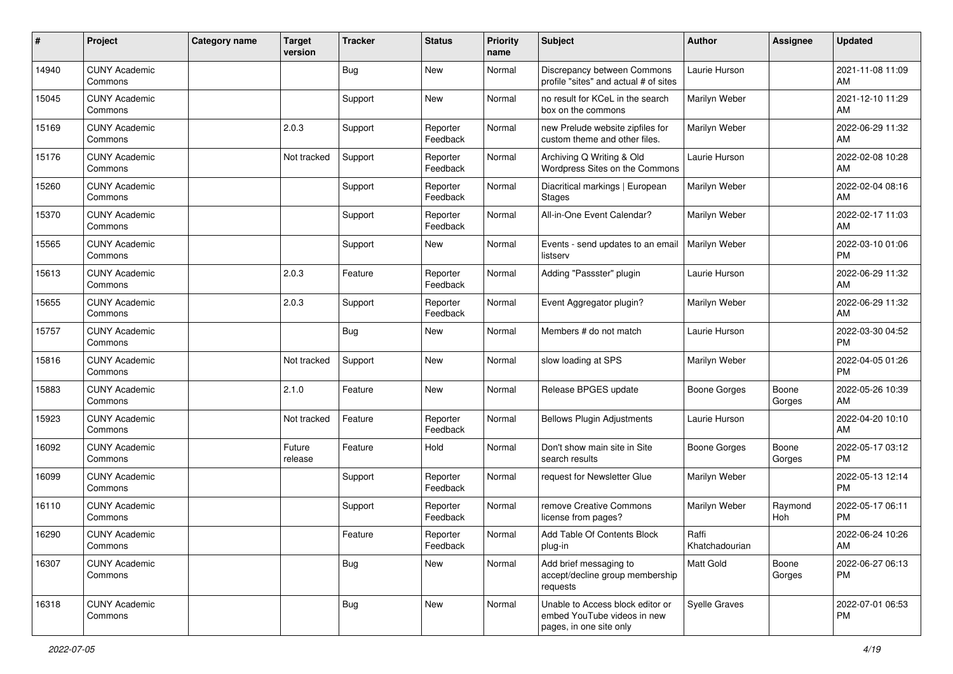| #     | Project                         | <b>Category name</b> | <b>Target</b><br>version | <b>Tracker</b> | <b>Status</b>        | <b>Priority</b><br>name | <b>Subject</b>                                                                             | <b>Author</b>           | Assignee        | <b>Updated</b>                |
|-------|---------------------------------|----------------------|--------------------------|----------------|----------------------|-------------------------|--------------------------------------------------------------------------------------------|-------------------------|-----------------|-------------------------------|
| 14940 | <b>CUNY Academic</b><br>Commons |                      |                          | <b>Bug</b>     | New                  | Normal                  | Discrepancy between Commons<br>profile "sites" and actual # of sites                       | Laurie Hurson           |                 | 2021-11-08 11:09<br>AM        |
| 15045 | <b>CUNY Academic</b><br>Commons |                      |                          | Support        | New                  | Normal                  | no result for KCeL in the search<br>box on the commons                                     | Marilyn Weber           |                 | 2021-12-10 11:29<br>AM        |
| 15169 | <b>CUNY Academic</b><br>Commons |                      | 2.0.3                    | Support        | Reporter<br>Feedback | Normal                  | new Prelude website zipfiles for<br>custom theme and other files.                          | Marilyn Weber           |                 | 2022-06-29 11:32<br>AM        |
| 15176 | <b>CUNY Academic</b><br>Commons |                      | Not tracked              | Support        | Reporter<br>Feedback | Normal                  | Archiving Q Writing & Old<br>Wordpress Sites on the Commons                                | Laurie Hurson           |                 | 2022-02-08 10:28<br>AM        |
| 15260 | <b>CUNY Academic</b><br>Commons |                      |                          | Support        | Reporter<br>Feedback | Normal                  | Diacritical markings   European<br><b>Stages</b>                                           | Marilyn Weber           |                 | 2022-02-04 08:16<br>AM        |
| 15370 | <b>CUNY Academic</b><br>Commons |                      |                          | Support        | Reporter<br>Feedback | Normal                  | All-in-One Event Calendar?                                                                 | Marilyn Weber           |                 | 2022-02-17 11:03<br>AM        |
| 15565 | <b>CUNY Academic</b><br>Commons |                      |                          | Support        | New                  | Normal                  | Events - send updates to an email<br>listserv                                              | Marilyn Weber           |                 | 2022-03-10 01:06<br><b>PM</b> |
| 15613 | <b>CUNY Academic</b><br>Commons |                      | 2.0.3                    | Feature        | Reporter<br>Feedback | Normal                  | Adding "Passster" plugin                                                                   | Laurie Hurson           |                 | 2022-06-29 11:32<br>AM        |
| 15655 | <b>CUNY Academic</b><br>Commons |                      | 2.0.3                    | Support        | Reporter<br>Feedback | Normal                  | Event Aggregator plugin?                                                                   | Marilyn Weber           |                 | 2022-06-29 11:32<br>AM        |
| 15757 | <b>CUNY Academic</b><br>Commons |                      |                          | Bug            | <b>New</b>           | Normal                  | Members # do not match                                                                     | Laurie Hurson           |                 | 2022-03-30 04:52<br><b>PM</b> |
| 15816 | <b>CUNY Academic</b><br>Commons |                      | Not tracked              | Support        | <b>New</b>           | Normal                  | slow loading at SPS                                                                        | Marilyn Weber           |                 | 2022-04-05 01:26<br><b>PM</b> |
| 15883 | <b>CUNY Academic</b><br>Commons |                      | 2.1.0                    | Feature        | <b>New</b>           | Normal                  | Release BPGES update                                                                       | <b>Boone Gorges</b>     | Boone<br>Gorges | 2022-05-26 10:39<br>AM        |
| 15923 | <b>CUNY Academic</b><br>Commons |                      | Not tracked              | Feature        | Reporter<br>Feedback | Normal                  | <b>Bellows Plugin Adjustments</b>                                                          | Laurie Hurson           |                 | 2022-04-20 10:10<br>AM        |
| 16092 | <b>CUNY Academic</b><br>Commons |                      | Future<br>release        | Feature        | Hold                 | Normal                  | Don't show main site in Site<br>search results                                             | Boone Gorges            | Boone<br>Gorges | 2022-05-17 03:12<br><b>PM</b> |
| 16099 | <b>CUNY Academic</b><br>Commons |                      |                          | Support        | Reporter<br>Feedback | Normal                  | request for Newsletter Glue                                                                | Marilyn Weber           |                 | 2022-05-13 12:14<br><b>PM</b> |
| 16110 | <b>CUNY Academic</b><br>Commons |                      |                          | Support        | Reporter<br>Feedback | Normal                  | remove Creative Commons<br>license from pages?                                             | Marilyn Weber           | Raymond<br>Hoh  | 2022-05-17 06:11<br><b>PM</b> |
| 16290 | <b>CUNY Academic</b><br>Commons |                      |                          | Feature        | Reporter<br>Feedback | Normal                  | Add Table Of Contents Block<br>plug-in                                                     | Raffi<br>Khatchadourian |                 | 2022-06-24 10:26<br>AM        |
| 16307 | <b>CUNY Academic</b><br>Commons |                      |                          | Bug            | New                  | Normal                  | Add brief messaging to<br>accept/decline group membership<br>requests                      | Matt Gold               | Boone<br>Gorges | 2022-06-27 06:13<br><b>PM</b> |
| 16318 | <b>CUNY Academic</b><br>Commons |                      |                          | Bug            | New                  | Normal                  | Unable to Access block editor or<br>embed YouTube videos in new<br>pages, in one site only | <b>Syelle Graves</b>    |                 | 2022-07-01 06:53<br><b>PM</b> |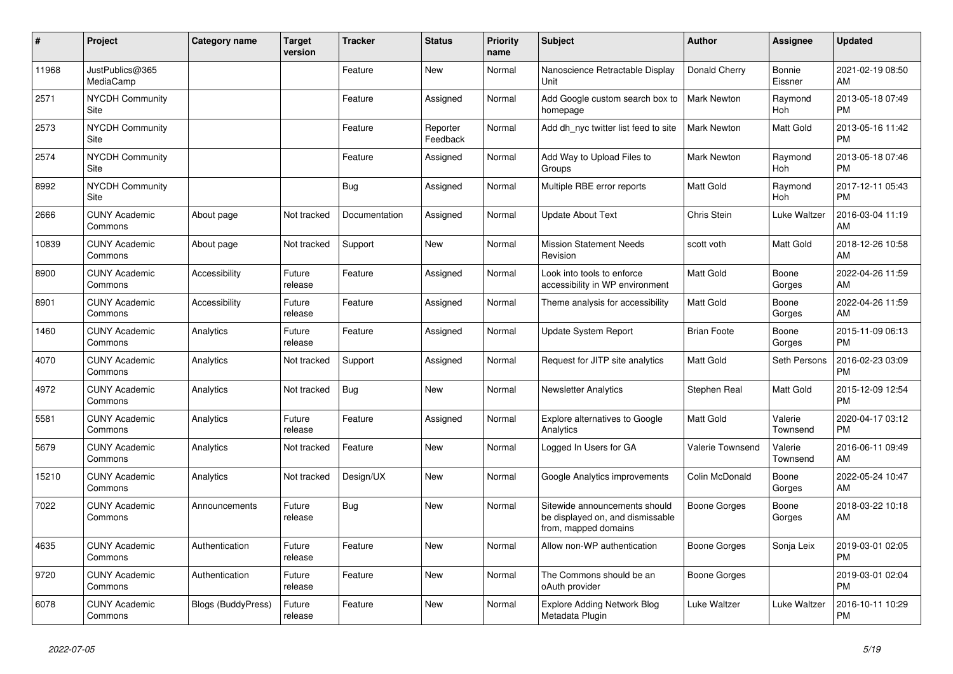| $\#$  | Project                               | <b>Category name</b> | <b>Target</b><br>version | <b>Tracker</b> | <b>Status</b>        | <b>Priority</b><br>name | <b>Subject</b>                                                                            | <b>Author</b>      | <b>Assignee</b>     | <b>Updated</b>                |
|-------|---------------------------------------|----------------------|--------------------------|----------------|----------------------|-------------------------|-------------------------------------------------------------------------------------------|--------------------|---------------------|-------------------------------|
| 11968 | JustPublics@365<br>MediaCamp          |                      |                          | Feature        | New                  | Normal                  | Nanoscience Retractable Display<br>Unit                                                   | Donald Cherry      | Bonnie<br>Eissner   | 2021-02-19 08:50<br>AM        |
| 2571  | <b>NYCDH Community</b><br>Site        |                      |                          | Feature        | Assigned             | Normal                  | Add Google custom search box to<br>homepage                                               | Mark Newton        | Raymond<br>Hoh      | 2013-05-18 07:49<br><b>PM</b> |
| 2573  | <b>NYCDH Community</b><br><b>Site</b> |                      |                          | Feature        | Reporter<br>Feedback | Normal                  | Add dh nyc twitter list feed to site                                                      | <b>Mark Newton</b> | Matt Gold           | 2013-05-16 11:42<br><b>PM</b> |
| 2574  | <b>NYCDH Community</b><br>Site        |                      |                          | Feature        | Assigned             | Normal                  | Add Way to Upload Files to<br>Groups                                                      | <b>Mark Newton</b> | Raymond<br>Hoh      | 2013-05-18 07:46<br><b>PM</b> |
| 8992  | <b>NYCDH Community</b><br>Site        |                      |                          | Bug            | Assigned             | Normal                  | Multiple RBE error reports                                                                | Matt Gold          | Raymond<br>Hoh      | 2017-12-11 05:43<br><b>PM</b> |
| 2666  | <b>CUNY Academic</b><br>Commons       | About page           | Not tracked              | Documentation  | Assigned             | Normal                  | Update About Text                                                                         | Chris Stein        | Luke Waltzer        | 2016-03-04 11:19<br>AM        |
| 10839 | <b>CUNY Academic</b><br>Commons       | About page           | Not tracked              | Support        | <b>New</b>           | Normal                  | <b>Mission Statement Needs</b><br>Revision                                                | scott voth         | Matt Gold           | 2018-12-26 10:58<br>AM        |
| 8900  | <b>CUNY Academic</b><br>Commons       | Accessibility        | Future<br>release        | Feature        | Assigned             | Normal                  | Look into tools to enforce<br>accessibility in WP environment                             | <b>Matt Gold</b>   | Boone<br>Gorges     | 2022-04-26 11:59<br>AM        |
| 8901  | <b>CUNY Academic</b><br>Commons       | Accessibility        | Future<br>release        | Feature        | Assigned             | Normal                  | Theme analysis for accessibility                                                          | Matt Gold          | Boone<br>Gorges     | 2022-04-26 11:59<br>AM        |
| 1460  | <b>CUNY Academic</b><br>Commons       | Analytics            | Future<br>release        | Feature        | Assigned             | Normal                  | Update System Report                                                                      | <b>Brian Foote</b> | Boone<br>Gorges     | 2015-11-09 06:13<br><b>PM</b> |
| 4070  | <b>CUNY Academic</b><br>Commons       | Analytics            | Not tracked              | Support        | Assigned             | Normal                  | Request for JITP site analytics                                                           | Matt Gold          | Seth Persons        | 2016-02-23 03:09<br><b>PM</b> |
| 4972  | <b>CUNY Academic</b><br>Commons       | Analytics            | Not tracked              | Bug            | New                  | Normal                  | <b>Newsletter Analytics</b>                                                               | Stephen Real       | Matt Gold           | 2015-12-09 12:54<br><b>PM</b> |
| 5581  | <b>CUNY Academic</b><br>Commons       | Analytics            | Future<br>release        | Feature        | Assigned             | Normal                  | Explore alternatives to Google<br>Analytics                                               | Matt Gold          | Valerie<br>Townsend | 2020-04-17 03:12<br><b>PM</b> |
| 5679  | <b>CUNY Academic</b><br>Commons       | Analytics            | Not tracked              | Feature        | <b>New</b>           | Normal                  | Logged In Users for GA                                                                    | Valerie Townsend   | Valerie<br>Townsend | 2016-06-11 09:49<br>AM        |
| 15210 | <b>CUNY Academic</b><br>Commons       | Analytics            | Not tracked              | Design/UX      | <b>New</b>           | Normal                  | Google Analytics improvements                                                             | Colin McDonald     | Boone<br>Gorges     | 2022-05-24 10:47<br>AM        |
| 7022  | <b>CUNY Academic</b><br>Commons       | Announcements        | Future<br>release        | Bug            | New                  | Normal                  | Sitewide announcements should<br>be displayed on, and dismissable<br>from, mapped domains | Boone Gorges       | Boone<br>Gorges     | 2018-03-22 10:18<br>AM        |
| 4635  | <b>CUNY Academic</b><br>Commons       | Authentication       | Future<br>release        | Feature        | <b>New</b>           | Normal                  | Allow non-WP authentication                                                               | Boone Gorges       | Sonja Leix          | 2019-03-01 02:05<br><b>PM</b> |
| 9720  | <b>CUNY Academic</b><br>Commons       | Authentication       | Future<br>release        | Feature        | New                  | Normal                  | The Commons should be an<br>oAuth provider                                                | Boone Gorges       |                     | 2019-03-01 02:04<br><b>PM</b> |
| 6078  | <b>CUNY Academic</b><br>Commons       | Blogs (BuddyPress)   | Future<br>release        | Feature        | <b>New</b>           | Normal                  | <b>Explore Adding Network Blog</b><br>Metadata Plugin                                     | Luke Waltzer       | Luke Waltzer        | 2016-10-11 10:29<br><b>PM</b> |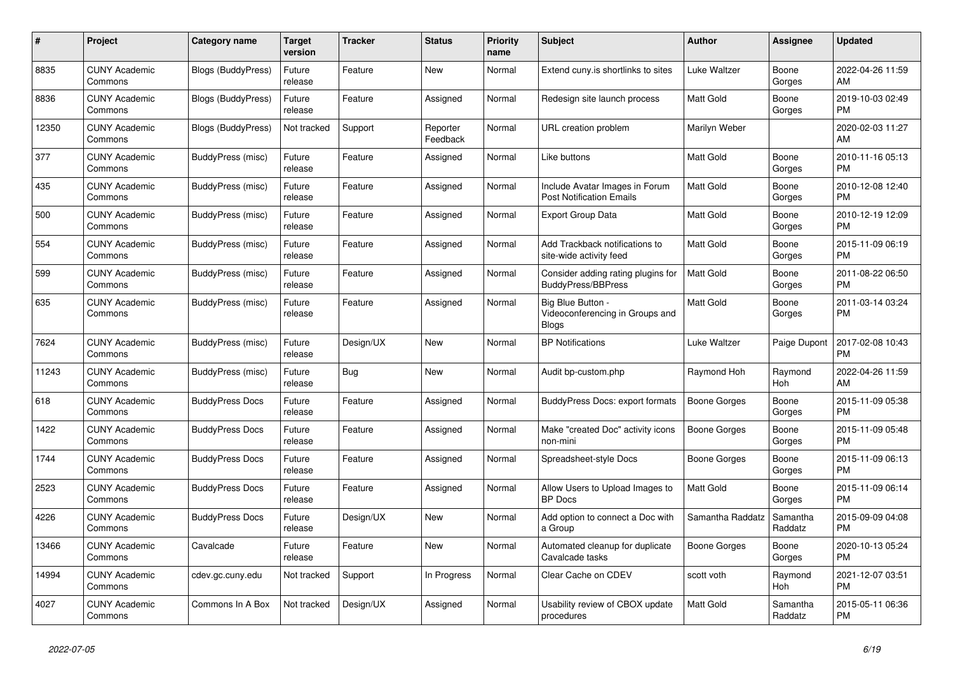| #     | Project                         | <b>Category name</b>      | Target<br>version | <b>Tracker</b> | <b>Status</b>        | <b>Priority</b><br>name | <b>Subject</b>                                                       | <b>Author</b>       | Assignee            | <b>Updated</b>                |
|-------|---------------------------------|---------------------------|-------------------|----------------|----------------------|-------------------------|----------------------------------------------------------------------|---------------------|---------------------|-------------------------------|
| 8835  | <b>CUNY Academic</b><br>Commons | <b>Blogs (BuddyPress)</b> | Future<br>release | Feature        | New                  | Normal                  | Extend cuny.is shortlinks to sites                                   | Luke Waltzer        | Boone<br>Gorges     | 2022-04-26 11:59<br>AM        |
| 8836  | <b>CUNY Academic</b><br>Commons | Blogs (BuddyPress)        | Future<br>release | Feature        | Assigned             | Normal                  | Redesign site launch process                                         | Matt Gold           | Boone<br>Gorges     | 2019-10-03 02:49<br><b>PM</b> |
| 12350 | <b>CUNY Academic</b><br>Commons | Blogs (BuddyPress)        | Not tracked       | Support        | Reporter<br>Feedback | Normal                  | URL creation problem                                                 | Marilyn Weber       |                     | 2020-02-03 11:27<br>AM        |
| 377   | <b>CUNY Academic</b><br>Commons | BuddyPress (misc)         | Future<br>release | Feature        | Assigned             | Normal                  | Like buttons                                                         | Matt Gold           | Boone<br>Gorges     | 2010-11-16 05:13<br><b>PM</b> |
| 435   | <b>CUNY Academic</b><br>Commons | BuddyPress (misc)         | Future<br>release | Feature        | Assigned             | Normal                  | Include Avatar Images in Forum<br><b>Post Notification Emails</b>    | Matt Gold           | Boone<br>Gorges     | 2010-12-08 12:40<br><b>PM</b> |
| 500   | <b>CUNY Academic</b><br>Commons | BuddyPress (misc)         | Future<br>release | Feature        | Assigned             | Normal                  | Export Group Data                                                    | Matt Gold           | Boone<br>Gorges     | 2010-12-19 12:09<br><b>PM</b> |
| 554   | <b>CUNY Academic</b><br>Commons | BuddyPress (misc)         | Future<br>release | Feature        | Assigned             | Normal                  | Add Trackback notifications to<br>site-wide activity feed            | Matt Gold           | Boone<br>Gorges     | 2015-11-09 06:19<br><b>PM</b> |
| 599   | <b>CUNY Academic</b><br>Commons | BuddyPress (misc)         | Future<br>release | Feature        | Assigned             | Normal                  | Consider adding rating plugins for<br><b>BuddyPress/BBPress</b>      | <b>Matt Gold</b>    | Boone<br>Gorges     | 2011-08-22 06:50<br><b>PM</b> |
| 635   | <b>CUNY Academic</b><br>Commons | BuddyPress (misc)         | Future<br>release | Feature        | Assigned             | Normal                  | Big Blue Button -<br>Videoconferencing in Groups and<br><b>Blogs</b> | <b>Matt Gold</b>    | Boone<br>Gorges     | 2011-03-14 03:24<br><b>PM</b> |
| 7624  | <b>CUNY Academic</b><br>Commons | BuddyPress (misc)         | Future<br>release | Design/UX      | New                  | Normal                  | <b>BP Notifications</b>                                              | Luke Waltzer        | Paige Dupont        | 2017-02-08 10:43<br><b>PM</b> |
| 11243 | <b>CUNY Academic</b><br>Commons | BuddyPress (misc)         | Future<br>release | <b>Bug</b>     | New                  | Normal                  | Audit bp-custom.php                                                  | Raymond Hoh         | Raymond<br>Hoh      | 2022-04-26 11:59<br>AM        |
| 618   | <b>CUNY Academic</b><br>Commons | <b>BuddyPress Docs</b>    | Future<br>release | Feature        | Assigned             | Normal                  | BuddyPress Docs: export formats                                      | <b>Boone Gorges</b> | Boone<br>Gorges     | 2015-11-09 05:38<br><b>PM</b> |
| 1422  | <b>CUNY Academic</b><br>Commons | <b>BuddyPress Docs</b>    | Future<br>release | Feature        | Assigned             | Normal                  | Make "created Doc" activity icons<br>non-mini                        | Boone Gorges        | Boone<br>Gorges     | 2015-11-09 05:48<br><b>PM</b> |
| 1744  | <b>CUNY Academic</b><br>Commons | <b>BuddyPress Docs</b>    | Future<br>release | Feature        | Assigned             | Normal                  | Spreadsheet-style Docs                                               | Boone Gorges        | Boone<br>Gorges     | 2015-11-09 06:13<br><b>PM</b> |
| 2523  | <b>CUNY Academic</b><br>Commons | <b>BuddyPress Docs</b>    | Future<br>release | Feature        | Assigned             | Normal                  | Allow Users to Upload Images to<br><b>BP</b> Docs                    | <b>Matt Gold</b>    | Boone<br>Gorges     | 2015-11-09 06:14<br><b>PM</b> |
| 4226  | <b>CUNY Academic</b><br>Commons | <b>BuddyPress Docs</b>    | Future<br>release | Design/UX      | <b>New</b>           | Normal                  | Add option to connect a Doc with<br>a Group                          | Samantha Raddatz    | Samantha<br>Raddatz | 2015-09-09 04:08<br><b>PM</b> |
| 13466 | <b>CUNY Academic</b><br>Commons | Cavalcade                 | Future<br>release | Feature        | <b>New</b>           | Normal                  | Automated cleanup for duplicate<br>Cavalcade tasks                   | Boone Gorges        | Boone<br>Gorges     | 2020-10-13 05:24<br><b>PM</b> |
| 14994 | <b>CUNY Academic</b><br>Commons | cdev.gc.cuny.edu          | Not tracked       | Support        | In Progress          | Normal                  | Clear Cache on CDEV                                                  | scott voth          | Raymond<br>Hoh      | 2021-12-07 03:51<br><b>PM</b> |
| 4027  | <b>CUNY Academic</b><br>Commons | Commons In A Box          | Not tracked       | Design/UX      | Assigned             | Normal                  | Usability review of CBOX update<br>procedures                        | <b>Matt Gold</b>    | Samantha<br>Raddatz | 2015-05-11 06:36<br><b>PM</b> |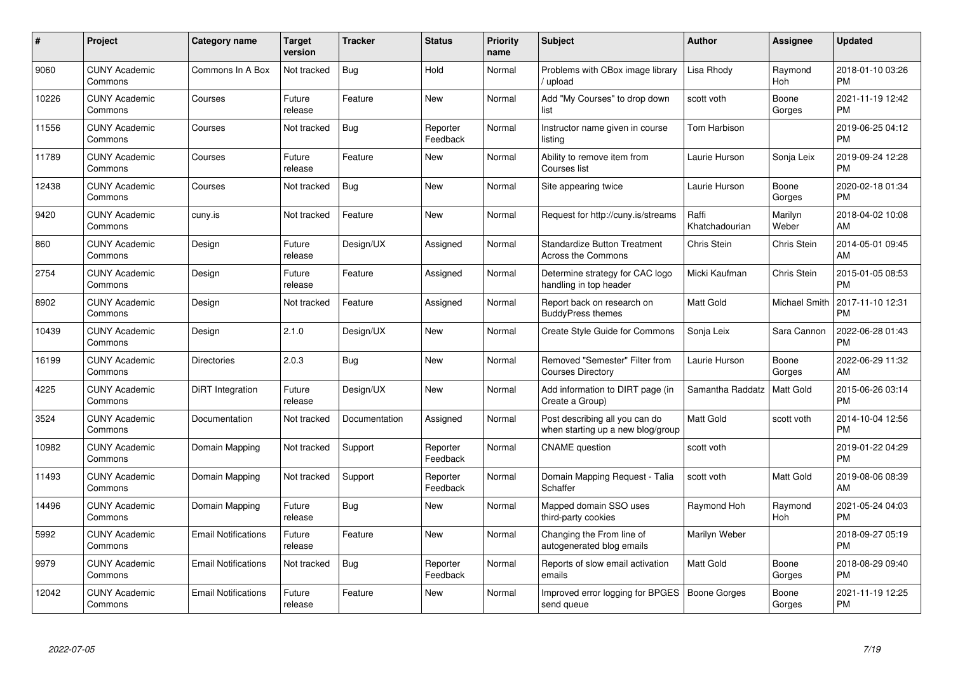| #     | Project                         | <b>Category name</b>       | Target<br>version | <b>Tracker</b> | <b>Status</b>        | Priority<br>name | <b>Subject</b>                                                      | <b>Author</b>           | <b>Assignee</b>      | <b>Updated</b>                |
|-------|---------------------------------|----------------------------|-------------------|----------------|----------------------|------------------|---------------------------------------------------------------------|-------------------------|----------------------|-------------------------------|
| 9060  | <b>CUNY Academic</b><br>Commons | Commons In A Box           | Not tracked       | Bug            | Hold                 | Normal           | Problems with CBox image library<br>/ upload                        | Lisa Rhody              | Raymond<br>Hoh       | 2018-01-10 03:26<br><b>PM</b> |
| 10226 | <b>CUNY Academic</b><br>Commons | Courses                    | Future<br>release | Feature        | <b>New</b>           | Normal           | Add "My Courses" to drop down<br>list                               | scott voth              | Boone<br>Gorges      | 2021-11-19 12:42<br><b>PM</b> |
| 11556 | <b>CUNY Academic</b><br>Commons | Courses                    | Not tracked       | <b>Bug</b>     | Reporter<br>Feedback | Normal           | Instructor name given in course<br>listing                          | Tom Harbison            |                      | 2019-06-25 04:12<br><b>PM</b> |
| 11789 | <b>CUNY Academic</b><br>Commons | Courses                    | Future<br>release | Feature        | <b>New</b>           | Normal           | Ability to remove item from<br>Courses list                         | Laurie Hurson           | Sonja Leix           | 2019-09-24 12:28<br><b>PM</b> |
| 12438 | <b>CUNY Academic</b><br>Commons | Courses                    | Not tracked       | Bug            | <b>New</b>           | Normal           | Site appearing twice                                                | Laurie Hurson           | Boone<br>Gorges      | 2020-02-18 01:34<br><b>PM</b> |
| 9420  | <b>CUNY Academic</b><br>Commons | cuny.is                    | Not tracked       | Feature        | <b>New</b>           | Normal           | Request for http://cuny.is/streams                                  | Raffi<br>Khatchadourian | Marilyn<br>Weber     | 2018-04-02 10:08<br>AM.       |
| 860   | <b>CUNY Academic</b><br>Commons | Design                     | Future<br>release | Design/UX      | Assigned             | Normal           | <b>Standardize Button Treatment</b><br><b>Across the Commons</b>    | Chris Stein             | Chris Stein          | 2014-05-01 09:45<br>AM        |
| 2754  | <b>CUNY Academic</b><br>Commons | Design                     | Future<br>release | Feature        | Assigned             | Normal           | Determine strategy for CAC logo<br>handling in top header           | Micki Kaufman           | Chris Stein          | 2015-01-05 08:53<br><b>PM</b> |
| 8902  | <b>CUNY Academic</b><br>Commons | Design                     | Not tracked       | Feature        | Assigned             | Normal           | Report back on research on<br><b>BuddyPress themes</b>              | <b>Matt Gold</b>        | <b>Michael Smith</b> | 2017-11-10 12:31<br><b>PM</b> |
| 10439 | <b>CUNY Academic</b><br>Commons | Design                     | 2.1.0             | Design/UX      | <b>New</b>           | Normal           | <b>Create Style Guide for Commons</b>                               | Sonja Leix              | Sara Cannon          | 2022-06-28 01:43<br>PM        |
| 16199 | <b>CUNY Academic</b><br>Commons | <b>Directories</b>         | 2.0.3             | Bug            | <b>New</b>           | Normal           | Removed "Semester" Filter from<br><b>Courses Directory</b>          | Laurie Hurson           | Boone<br>Gorges      | 2022-06-29 11:32<br>AM        |
| 4225  | <b>CUNY Academic</b><br>Commons | DiRT Integration           | Future<br>release | Design/UX      | New                  | Normal           | Add information to DIRT page (in<br>Create a Group)                 | Samantha Raddatz        | Matt Gold            | 2015-06-26 03:14<br><b>PM</b> |
| 3524  | <b>CUNY Academic</b><br>Commons | Documentation              | Not tracked       | Documentation  | Assigned             | Normal           | Post describing all you can do<br>when starting up a new blog/group | Matt Gold               | scott voth           | 2014-10-04 12:56<br><b>PM</b> |
| 10982 | <b>CUNY Academic</b><br>Commons | Domain Mapping             | Not tracked       | Support        | Reporter<br>Feedback | Normal           | <b>CNAME</b> question                                               | scott voth              |                      | 2019-01-22 04:29<br><b>PM</b> |
| 11493 | <b>CUNY Academic</b><br>Commons | Domain Mapping             | Not tracked       | Support        | Reporter<br>Feedback | Normal           | Domain Mapping Request - Talia<br>Schaffer                          | scott voth              | Matt Gold            | 2019-08-06 08:39<br><b>AM</b> |
| 14496 | <b>CUNY Academic</b><br>Commons | Domain Mapping             | Future<br>release | Bug            | New                  | Normal           | Mapped domain SSO uses<br>third-party cookies                       | Raymond Hoh             | Raymond<br>Hoh       | 2021-05-24 04:03<br><b>PM</b> |
| 5992  | <b>CUNY Academic</b><br>Commons | <b>Email Notifications</b> | Future<br>release | Feature        | New                  | Normal           | Changing the From line of<br>autogenerated blog emails              | Marilyn Weber           |                      | 2018-09-27 05:19<br><b>PM</b> |
| 9979  | <b>CUNY Academic</b><br>Commons | <b>Email Notifications</b> | Not tracked       | Bug            | Reporter<br>Feedback | Normal           | Reports of slow email activation<br>emails                          | Matt Gold               | Boone<br>Gorges      | 2018-08-29 09:40<br><b>PM</b> |
| 12042 | <b>CUNY Academic</b><br>Commons | <b>Email Notifications</b> | Future<br>release | Feature        | <b>New</b>           | Normal           | Improved error logging for BPGES<br>send queue                      | Boone Gorges            | Boone<br>Gorges      | 2021-11-19 12:25<br>PM        |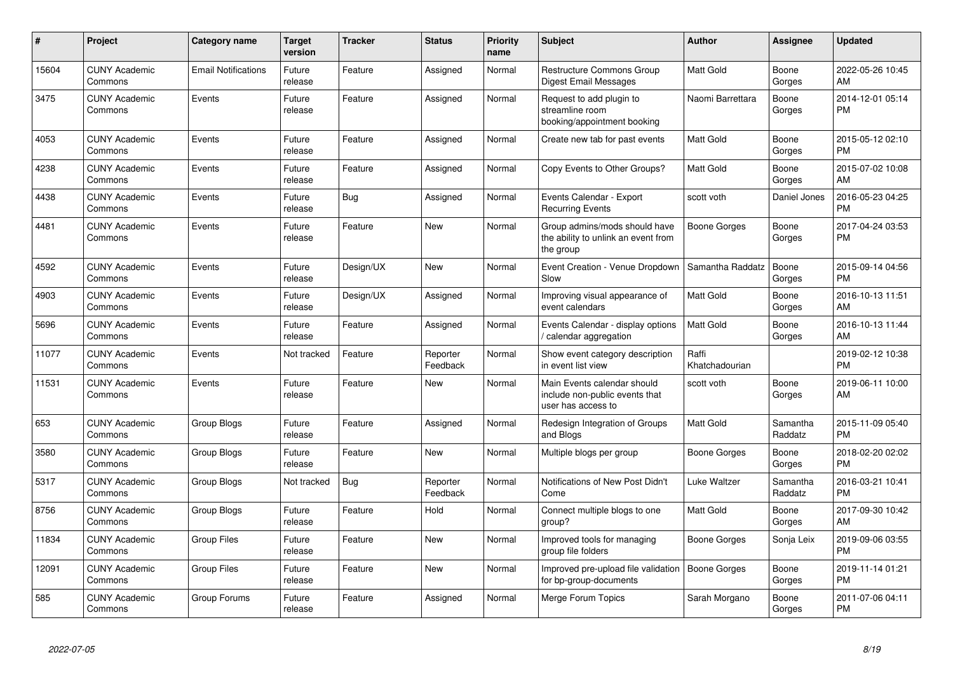| #     | <b>Project</b>                  | <b>Category name</b>       | <b>Target</b><br>version | <b>Tracker</b> | <b>Status</b>        | <b>Priority</b><br>name | <b>Subject</b>                                                                      | <b>Author</b>           | Assignee            | <b>Updated</b>                |
|-------|---------------------------------|----------------------------|--------------------------|----------------|----------------------|-------------------------|-------------------------------------------------------------------------------------|-------------------------|---------------------|-------------------------------|
| 15604 | <b>CUNY Academic</b><br>Commons | <b>Email Notifications</b> | Future<br>release        | Feature        | Assigned             | Normal                  | <b>Restructure Commons Group</b><br>Digest Email Messages                           | <b>Matt Gold</b>        | Boone<br>Gorges     | 2022-05-26 10:45<br>AM        |
| 3475  | <b>CUNY Academic</b><br>Commons | Events                     | Future<br>release        | Feature        | Assigned             | Normal                  | Request to add plugin to<br>streamline room<br>booking/appointment booking          | Naomi Barrettara        | Boone<br>Gorges     | 2014-12-01 05:14<br><b>PM</b> |
| 4053  | <b>CUNY Academic</b><br>Commons | Events                     | Future<br>release        | Feature        | Assigned             | Normal                  | Create new tab for past events                                                      | <b>Matt Gold</b>        | Boone<br>Gorges     | 2015-05-12 02:10<br><b>PM</b> |
| 4238  | <b>CUNY Academic</b><br>Commons | Events                     | Future<br>release        | Feature        | Assigned             | Normal                  | Copy Events to Other Groups?                                                        | <b>Matt Gold</b>        | Boone<br>Gorges     | 2015-07-02 10:08<br>AM        |
| 4438  | <b>CUNY Academic</b><br>Commons | Events                     | Future<br>release        | Bug            | Assigned             | Normal                  | Events Calendar - Export<br><b>Recurring Events</b>                                 | scott voth              | Daniel Jones        | 2016-05-23 04:25<br><b>PM</b> |
| 4481  | <b>CUNY Academic</b><br>Commons | Events                     | Future<br>release        | Feature        | <b>New</b>           | Normal                  | Group admins/mods should have<br>the ability to unlink an event from<br>the group   | <b>Boone Gorges</b>     | Boone<br>Gorges     | 2017-04-24 03:53<br><b>PM</b> |
| 4592  | <b>CUNY Academic</b><br>Commons | Events                     | Future<br>release        | Design/UX      | New                  | Normal                  | Event Creation - Venue Dropdown<br>Slow                                             | Samantha Raddatz        | Boone<br>Gorges     | 2015-09-14 04:56<br><b>PM</b> |
| 4903  | <b>CUNY Academic</b><br>Commons | Events                     | Future<br>release        | Design/UX      | Assigned             | Normal                  | Improving visual appearance of<br>event calendars                                   | <b>Matt Gold</b>        | Boone<br>Gorges     | 2016-10-13 11:51<br>AM        |
| 5696  | <b>CUNY Academic</b><br>Commons | Events                     | Future<br>release        | Feature        | Assigned             | Normal                  | Events Calendar - display options<br>calendar aggregation /                         | <b>Matt Gold</b>        | Boone<br>Gorges     | 2016-10-13 11:44<br>AM        |
| 11077 | <b>CUNY Academic</b><br>Commons | Events                     | Not tracked              | Feature        | Reporter<br>Feedback | Normal                  | Show event category description<br>in event list view                               | Raffi<br>Khatchadourian |                     | 2019-02-12 10:38<br><b>PM</b> |
| 11531 | <b>CUNY Academic</b><br>Commons | Events                     | Future<br>release        | Feature        | <b>New</b>           | Normal                  | Main Events calendar should<br>include non-public events that<br>user has access to | scott voth              | Boone<br>Gorges     | 2019-06-11 10:00<br>AM        |
| 653   | <b>CUNY Academic</b><br>Commons | Group Blogs                | Future<br>release        | Feature        | Assigned             | Normal                  | Redesign Integration of Groups<br>and Blogs                                         | <b>Matt Gold</b>        | Samantha<br>Raddatz | 2015-11-09 05:40<br><b>PM</b> |
| 3580  | <b>CUNY Academic</b><br>Commons | Group Blogs                | Future<br>release        | Feature        | <b>New</b>           | Normal                  | Multiple blogs per group                                                            | Boone Gorges            | Boone<br>Gorges     | 2018-02-20 02:02<br><b>PM</b> |
| 5317  | <b>CUNY Academic</b><br>Commons | Group Blogs                | Not tracked              | Bug            | Reporter<br>Feedback | Normal                  | Notifications of New Post Didn't<br>Come                                            | Luke Waltzer            | Samantha<br>Raddatz | 2016-03-21 10:41<br><b>PM</b> |
| 8756  | <b>CUNY Academic</b><br>Commons | Group Blogs                | Future<br>release        | Feature        | Hold                 | Normal                  | Connect multiple blogs to one<br>group?                                             | <b>Matt Gold</b>        | Boone<br>Gorges     | 2017-09-30 10:42<br>AM        |
| 11834 | <b>CUNY Academic</b><br>Commons | <b>Group Files</b>         | Future<br>release        | Feature        | <b>New</b>           | Normal                  | Improved tools for managing<br>group file folders                                   | Boone Gorges            | Sonja Leix          | 2019-09-06 03:55<br><b>PM</b> |
| 12091 | <b>CUNY Academic</b><br>Commons | <b>Group Files</b>         | Future<br>release        | Feature        | <b>New</b>           | Normal                  | Improved pre-upload file validation<br>for bp-group-documents                       | Boone Gorges            | Boone<br>Gorges     | 2019-11-14 01:21<br><b>PM</b> |
| 585   | <b>CUNY Academic</b><br>Commons | Group Forums               | Future<br>release        | Feature        | Assigned             | Normal                  | <b>Merge Forum Topics</b>                                                           | Sarah Morgano           | Boone<br>Gorges     | 2011-07-06 04:11<br><b>PM</b> |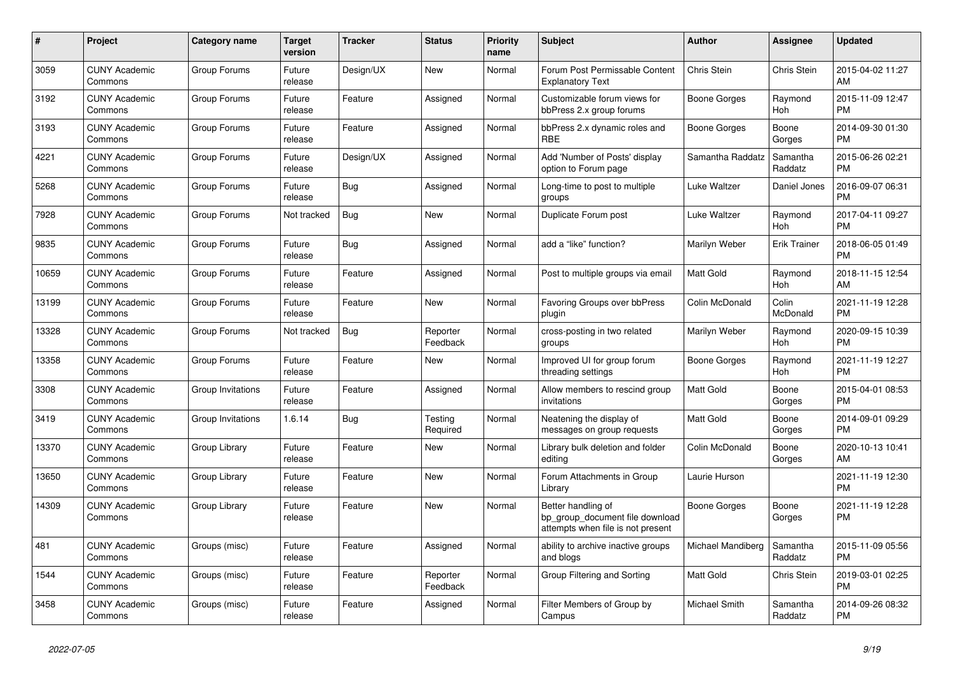| #     | Project                         | <b>Category name</b> | <b>Target</b><br>version | <b>Tracker</b> | <b>Status</b>        | <b>Priority</b><br>name | <b>Subject</b>                                                                             | <b>Author</b>     | Assignee            | <b>Updated</b>                |
|-------|---------------------------------|----------------------|--------------------------|----------------|----------------------|-------------------------|--------------------------------------------------------------------------------------------|-------------------|---------------------|-------------------------------|
| 3059  | <b>CUNY Academic</b><br>Commons | Group Forums         | Future<br>release        | Design/UX      | <b>New</b>           | Normal                  | Forum Post Permissable Content<br><b>Explanatory Text</b>                                  | Chris Stein       | Chris Stein         | 2015-04-02 11:27<br>AM        |
| 3192  | <b>CUNY Academic</b><br>Commons | Group Forums         | Future<br>release        | Feature        | Assigned             | Normal                  | Customizable forum views for<br>bbPress 2.x group forums                                   | Boone Gorges      | Raymond<br>Hoh      | 2015-11-09 12:47<br><b>PM</b> |
| 3193  | <b>CUNY Academic</b><br>Commons | Group Forums         | Future<br>release        | Feature        | Assigned             | Normal                  | bbPress 2.x dynamic roles and<br><b>RBE</b>                                                | Boone Gorges      | Boone<br>Gorges     | 2014-09-30 01:30<br><b>PM</b> |
| 4221  | <b>CUNY Academic</b><br>Commons | Group Forums         | Future<br>release        | Design/UX      | Assigned             | Normal                  | Add 'Number of Posts' display<br>option to Forum page                                      | Samantha Raddatz  | Samantha<br>Raddatz | 2015-06-26 02:21<br><b>PM</b> |
| 5268  | <b>CUNY Academic</b><br>Commons | Group Forums         | Future<br>release        | <b>Bug</b>     | Assigned             | Normal                  | Long-time to post to multiple<br>groups                                                    | Luke Waltzer      | Daniel Jones        | 2016-09-07 06:31<br><b>PM</b> |
| 7928  | <b>CUNY Academic</b><br>Commons | Group Forums         | Not tracked              | Bug            | New                  | Normal                  | Duplicate Forum post                                                                       | Luke Waltzer      | Raymond<br>Hoh      | 2017-04-11 09:27<br><b>PM</b> |
| 9835  | <b>CUNY Academic</b><br>Commons | Group Forums         | Future<br>release        | <b>Bug</b>     | Assigned             | Normal                  | add a "like" function?                                                                     | Marilyn Weber     | <b>Erik Trainer</b> | 2018-06-05 01:49<br><b>PM</b> |
| 10659 | <b>CUNY Academic</b><br>Commons | Group Forums         | Future<br>release        | Feature        | Assigned             | Normal                  | Post to multiple groups via email                                                          | <b>Matt Gold</b>  | Raymond<br>Hoh      | 2018-11-15 12:54<br>AM        |
| 13199 | <b>CUNY Academic</b><br>Commons | Group Forums         | Future<br>release        | Feature        | New                  | Normal                  | Favoring Groups over bbPress<br>plugin                                                     | Colin McDonald    | Colin<br>McDonald   | 2021-11-19 12:28<br><b>PM</b> |
| 13328 | <b>CUNY Academic</b><br>Commons | Group Forums         | Not tracked              | <b>Bug</b>     | Reporter<br>Feedback | Normal                  | cross-posting in two related<br>groups                                                     | Marilyn Weber     | Raymond<br>Hoh      | 2020-09-15 10:39<br><b>PM</b> |
| 13358 | <b>CUNY Academic</b><br>Commons | Group Forums         | Future<br>release        | Feature        | <b>New</b>           | Normal                  | Improved UI for group forum<br>threading settings                                          | Boone Gorges      | Raymond<br>Hoh      | 2021-11-19 12:27<br><b>PM</b> |
| 3308  | <b>CUNY Academic</b><br>Commons | Group Invitations    | Future<br>release        | Feature        | Assigned             | Normal                  | Allow members to rescind group<br>invitations                                              | Matt Gold         | Boone<br>Gorges     | 2015-04-01 08:53<br><b>PM</b> |
| 3419  | <b>CUNY Academic</b><br>Commons | Group Invitations    | 1.6.14                   | <b>Bug</b>     | Testing<br>Required  | Normal                  | Neatening the display of<br>messages on group requests                                     | <b>Matt Gold</b>  | Boone<br>Gorges     | 2014-09-01 09:29<br><b>PM</b> |
| 13370 | <b>CUNY Academic</b><br>Commons | Group Library        | Future<br>release        | Feature        | <b>New</b>           | Normal                  | Library bulk deletion and folder<br>editing                                                | Colin McDonald    | Boone<br>Gorges     | 2020-10-13 10:41<br>AM        |
| 13650 | <b>CUNY Academic</b><br>Commons | Group Library        | Future<br>release        | Feature        | <b>New</b>           | Normal                  | Forum Attachments in Group<br>Library                                                      | Laurie Hurson     |                     | 2021-11-19 12:30<br><b>PM</b> |
| 14309 | <b>CUNY Academic</b><br>Commons | Group Library        | Future<br>release        | Feature        | <b>New</b>           | Normal                  | Better handling of<br>bp_group_document file download<br>attempts when file is not present | Boone Gorges      | Boone<br>Gorges     | 2021-11-19 12:28<br><b>PM</b> |
| 481   | <b>CUNY Academic</b><br>Commons | Groups (misc)        | Future<br>release        | Feature        | Assigned             | Normal                  | ability to archive inactive groups<br>and blogs                                            | Michael Mandiberg | Samantha<br>Raddatz | 2015-11-09 05:56<br><b>PM</b> |
| 1544  | <b>CUNY Academic</b><br>Commons | Groups (misc)        | Future<br>release        | Feature        | Reporter<br>Feedback | Normal                  | Group Filtering and Sorting                                                                | Matt Gold         | Chris Stein         | 2019-03-01 02:25<br><b>PM</b> |
| 3458  | <b>CUNY Academic</b><br>Commons | Groups (misc)        | Future<br>release        | Feature        | Assigned             | Normal                  | Filter Members of Group by<br>Campus                                                       | Michael Smith     | Samantha<br>Raddatz | 2014-09-26 08:32<br><b>PM</b> |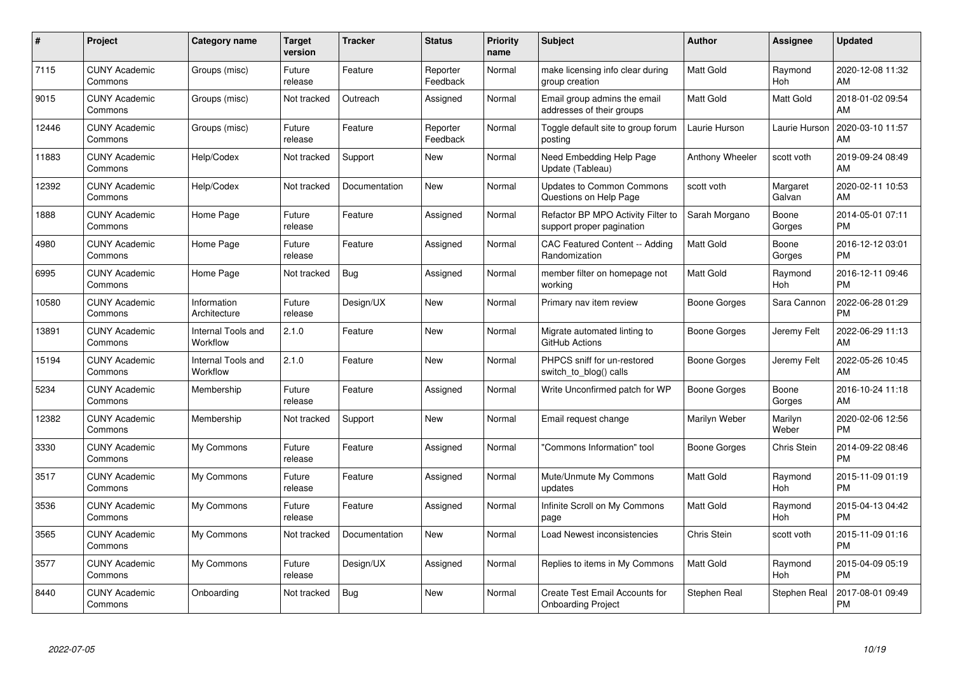| #     | Project                         | <b>Category name</b>           | Target<br>version | <b>Tracker</b> | <b>Status</b>        | Priority<br>name | <b>Subject</b>                                                  | <b>Author</b>    | <b>Assignee</b>    | <b>Updated</b>                |
|-------|---------------------------------|--------------------------------|-------------------|----------------|----------------------|------------------|-----------------------------------------------------------------|------------------|--------------------|-------------------------------|
| 7115  | <b>CUNY Academic</b><br>Commons | Groups (misc)                  | Future<br>release | Feature        | Reporter<br>Feedback | Normal           | make licensing info clear during<br>group creation              | Matt Gold        | Raymond<br>Hoh     | 2020-12-08 11:32<br><b>AM</b> |
| 9015  | <b>CUNY Academic</b><br>Commons | Groups (misc)                  | Not tracked       | Outreach       | Assigned             | Normal           | Email group admins the email<br>addresses of their groups       | Matt Gold        | Matt Gold          | 2018-01-02 09:54<br>AM        |
| 12446 | <b>CUNY Academic</b><br>Commons | Groups (misc)                  | Future<br>release | Feature        | Reporter<br>Feedback | Normal           | Toggle default site to group forum<br>posting                   | Laurie Hurson    | Laurie Hurson      | 2020-03-10 11:57<br>AM        |
| 11883 | <b>CUNY Academic</b><br>Commons | Help/Codex                     | Not tracked       | Support        | <b>New</b>           | Normal           | Need Embedding Help Page<br>Update (Tableau)                    | Anthony Wheeler  | scott voth         | 2019-09-24 08:49<br>AM        |
| 12392 | <b>CUNY Academic</b><br>Commons | Help/Codex                     | Not tracked       | Documentation  | <b>New</b>           | Normal           | <b>Updates to Common Commons</b><br>Questions on Help Page      | scott voth       | Margaret<br>Galvan | 2020-02-11 10:53<br>AM        |
| 1888  | <b>CUNY Academic</b><br>Commons | Home Page                      | Future<br>release | Feature        | Assigned             | Normal           | Refactor BP MPO Activity Filter to<br>support proper pagination | Sarah Morgano    | Boone<br>Gorges    | 2014-05-01 07:11<br><b>PM</b> |
| 4980  | <b>CUNY Academic</b><br>Commons | Home Page                      | Future<br>release | Feature        | Assigned             | Normal           | <b>CAC Featured Content -- Adding</b><br>Randomization          | Matt Gold        | Boone<br>Gorges    | 2016-12-12 03:01<br><b>PM</b> |
| 6995  | <b>CUNY Academic</b><br>Commons | Home Page                      | Not tracked       | <b>Bug</b>     | Assigned             | Normal           | member filter on homepage not<br>workina                        | Matt Gold        | Raymond<br>Hoh     | 2016-12-11 09:46<br><b>PM</b> |
| 10580 | <b>CUNY Academic</b><br>Commons | Information<br>Architecture    | Future<br>release | Design/UX      | New                  | Normal           | Primary nav item review                                         | Boone Gorges     | Sara Cannon        | 2022-06-28 01:29<br><b>PM</b> |
| 13891 | <b>CUNY Academic</b><br>Commons | Internal Tools and<br>Workflow | 2.1.0             | Feature        | <b>New</b>           | Normal           | Migrate automated linting to<br>GitHub Actions                  | Boone Gorges     | Jeremy Felt        | 2022-06-29 11:13<br>AM        |
| 15194 | <b>CUNY Academic</b><br>Commons | Internal Tools and<br>Workflow | 2.1.0             | Feature        | <b>New</b>           | Normal           | PHPCS sniff for un-restored<br>switch_to_blog() calls           | Boone Gorges     | Jeremy Felt        | 2022-05-26 10:45<br>AM        |
| 5234  | <b>CUNY Academic</b><br>Commons | Membership                     | Future<br>release | Feature        | Assigned             | Normal           | Write Unconfirmed patch for WP                                  | Boone Gorges     | Boone<br>Gorges    | 2016-10-24 11:18<br>AM        |
| 12382 | <b>CUNY Academic</b><br>Commons | Membership                     | Not tracked       | Support        | New                  | Normal           | Email request change                                            | Marilyn Weber    | Marilyn<br>Weber   | 2020-02-06 12:56<br>PM.       |
| 3330  | <b>CUNY Academic</b><br>Commons | My Commons                     | Future<br>release | Feature        | Assigned             | Normal           | 'Commons Information" tool                                      | Boone Gorges     | <b>Chris Stein</b> | 2014-09-22 08:46<br><b>PM</b> |
| 3517  | <b>CUNY Academic</b><br>Commons | My Commons                     | Future<br>release | Feature        | Assigned             | Normal           | Mute/Unmute My Commons<br>updates                               | Matt Gold        | Raymond<br>Hoh     | 2015-11-09 01:19<br><b>PM</b> |
| 3536  | <b>CUNY Academic</b><br>Commons | My Commons                     | Future<br>release | Feature        | Assigned             | Normal           | Infinite Scroll on My Commons<br>page                           | <b>Matt Gold</b> | Raymond<br>Hoh     | 2015-04-13 04:42<br><b>PM</b> |
| 3565  | <b>CUNY Academic</b><br>Commons | My Commons                     | Not tracked       | Documentation  | New                  | Normal           | Load Newest inconsistencies                                     | Chris Stein      | scott voth         | 2015-11-09 01:16<br><b>PM</b> |
| 3577  | <b>CUNY Academic</b><br>Commons | My Commons                     | Future<br>release | Design/UX      | Assigned             | Normal           | Replies to items in My Commons                                  | Matt Gold        | Raymond<br>Hoh     | 2015-04-09 05:19<br><b>PM</b> |
| 8440  | <b>CUNY Academic</b><br>Commons | Onboarding                     | Not tracked       | Bug            | <b>New</b>           | Normal           | Create Test Email Accounts for<br><b>Onboarding Project</b>     | Stephen Real     | Stephen Real       | 2017-08-01 09:49<br>PM        |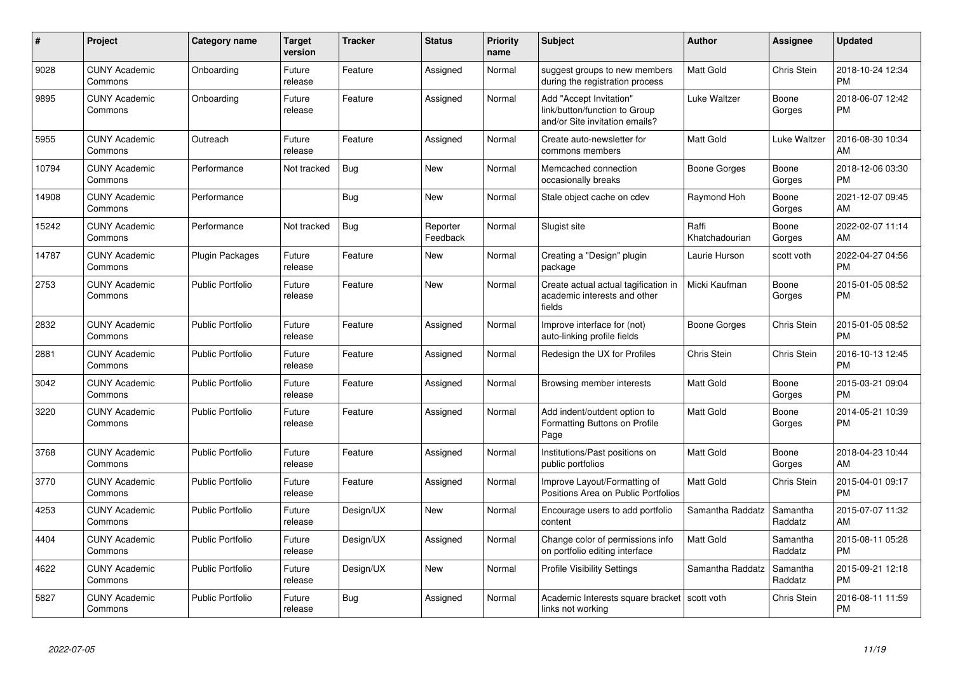| $\#$  | <b>Project</b>                  | Category name           | <b>Target</b><br>version | <b>Tracker</b> | <b>Status</b>        | <b>Priority</b><br>name | <b>Subject</b>                                                                             | Author                  | Assignee            | <b>Updated</b>                |
|-------|---------------------------------|-------------------------|--------------------------|----------------|----------------------|-------------------------|--------------------------------------------------------------------------------------------|-------------------------|---------------------|-------------------------------|
| 9028  | <b>CUNY Academic</b><br>Commons | Onboarding              | Future<br>release        | Feature        | Assigned             | Normal                  | suggest groups to new members<br>during the registration process                           | <b>Matt Gold</b>        | Chris Stein         | 2018-10-24 12:34<br><b>PM</b> |
| 9895  | <b>CUNY Academic</b><br>Commons | Onboarding              | Future<br>release        | Feature        | Assigned             | Normal                  | Add "Accept Invitation"<br>link/button/function to Group<br>and/or Site invitation emails? | Luke Waltzer            | Boone<br>Gorges     | 2018-06-07 12:42<br><b>PM</b> |
| 5955  | <b>CUNY Academic</b><br>Commons | Outreach                | Future<br>release        | Feature        | Assigned             | Normal                  | Create auto-newsletter for<br>commons members                                              | <b>Matt Gold</b>        | Luke Waltzer        | 2016-08-30 10:34<br>AM        |
| 10794 | <b>CUNY Academic</b><br>Commons | Performance             | Not tracked              | Bug            | <b>New</b>           | Normal                  | Memcached connection<br>occasionally breaks                                                | Boone Gorges            | Boone<br>Gorges     | 2018-12-06 03:30<br><b>PM</b> |
| 14908 | <b>CUNY Academic</b><br>Commons | Performance             |                          | <b>Bug</b>     | <b>New</b>           | Normal                  | Stale object cache on cdev                                                                 | Raymond Hoh             | Boone<br>Gorges     | 2021-12-07 09:45<br>AM        |
| 15242 | <b>CUNY Academic</b><br>Commons | Performance             | Not tracked              | Bug            | Reporter<br>Feedback | Normal                  | Slugist site                                                                               | Raffi<br>Khatchadourian | Boone<br>Gorges     | 2022-02-07 11:14<br>AM        |
| 14787 | <b>CUNY Academic</b><br>Commons | Plugin Packages         | Future<br>release        | Feature        | New                  | Normal                  | Creating a "Design" plugin<br>package                                                      | Laurie Hurson           | scott voth          | 2022-04-27 04:56<br><b>PM</b> |
| 2753  | <b>CUNY Academic</b><br>Commons | <b>Public Portfolio</b> | Future<br>release        | Feature        | <b>New</b>           | Normal                  | Create actual actual tagification in<br>academic interests and other<br>fields             | Micki Kaufman           | Boone<br>Gorges     | 2015-01-05 08:52<br><b>PM</b> |
| 2832  | <b>CUNY Academic</b><br>Commons | <b>Public Portfolio</b> | Future<br>release        | Feature        | Assigned             | Normal                  | Improve interface for (not)<br>auto-linking profile fields                                 | Boone Gorges            | Chris Stein         | 2015-01-05 08:52<br><b>PM</b> |
| 2881  | <b>CUNY Academic</b><br>Commons | Public Portfolio        | Future<br>release        | Feature        | Assigned             | Normal                  | Redesign the UX for Profiles                                                               | Chris Stein             | Chris Stein         | 2016-10-13 12:45<br><b>PM</b> |
| 3042  | <b>CUNY Academic</b><br>Commons | <b>Public Portfolio</b> | Future<br>release        | Feature        | Assigned             | Normal                  | Browsing member interests                                                                  | <b>Matt Gold</b>        | Boone<br>Gorges     | 2015-03-21 09:04<br><b>PM</b> |
| 3220  | <b>CUNY Academic</b><br>Commons | Public Portfolio        | Future<br>release        | Feature        | Assigned             | Normal                  | Add indent/outdent option to<br>Formatting Buttons on Profile<br>Page                      | <b>Matt Gold</b>        | Boone<br>Gorges     | 2014-05-21 10:39<br><b>PM</b> |
| 3768  | <b>CUNY Academic</b><br>Commons | Public Portfolio        | Future<br>release        | Feature        | Assigned             | Normal                  | Institutions/Past positions on<br>public portfolios                                        | <b>Matt Gold</b>        | Boone<br>Gorges     | 2018-04-23 10:44<br>AM        |
| 3770  | <b>CUNY Academic</b><br>Commons | Public Portfolio        | Future<br>release        | Feature        | Assigned             | Normal                  | Improve Layout/Formatting of<br>Positions Area on Public Portfolios                        | <b>Matt Gold</b>        | Chris Stein         | 2015-04-01 09:17<br><b>PM</b> |
| 4253  | <b>CUNY Academic</b><br>Commons | <b>Public Portfolio</b> | Future<br>release        | Design/UX      | <b>New</b>           | Normal                  | Encourage users to add portfolio<br>content                                                | Samantha Raddatz        | Samantha<br>Raddatz | 2015-07-07 11:32<br>AM        |
| 4404  | <b>CUNY Academic</b><br>Commons | <b>Public Portfolio</b> | Future<br>release        | Design/UX      | Assigned             | Normal                  | Change color of permissions info<br>on portfolio editing interface                         | Matt Gold               | Samantha<br>Raddatz | 2015-08-11 05:28<br><b>PM</b> |
| 4622  | <b>CUNY Academic</b><br>Commons | Public Portfolio        | Future<br>release        | Design/UX      | <b>New</b>           | Normal                  | <b>Profile Visibility Settings</b>                                                         | Samantha Raddatz        | Samantha<br>Raddatz | 2015-09-21 12:18<br><b>PM</b> |
| 5827  | <b>CUNY Academic</b><br>Commons | Public Portfolio        | Future<br>release        | <b>Bug</b>     | Assigned             | Normal                  | Academic Interests square bracket<br>links not working                                     | scott voth              | Chris Stein         | 2016-08-11 11:59<br><b>PM</b> |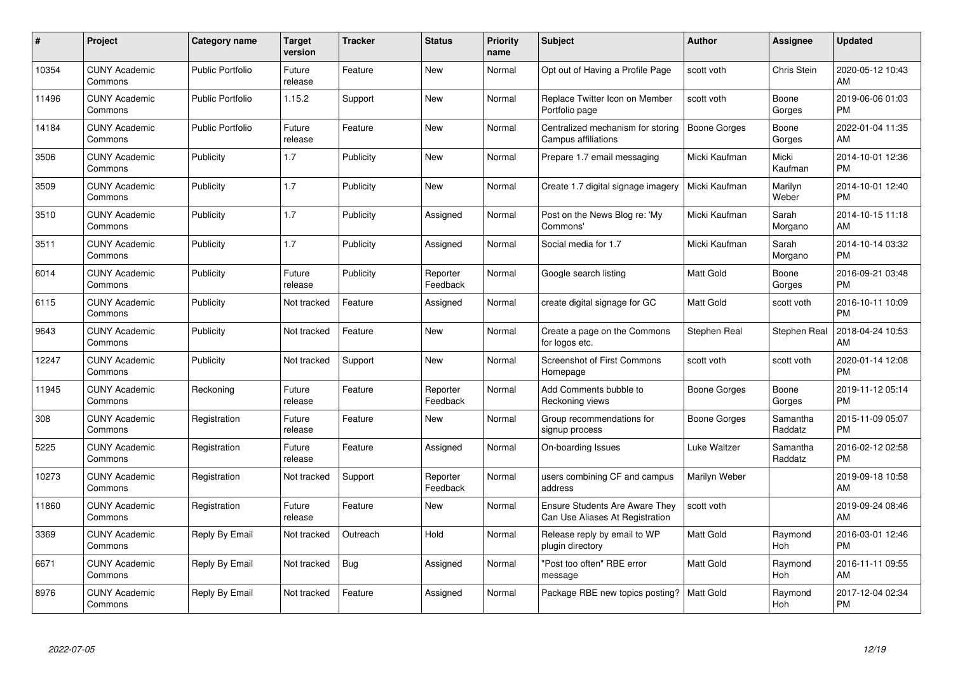| $\#$  | Project                         | <b>Category name</b>    | <b>Target</b><br>version | <b>Tracker</b> | <b>Status</b>        | Priority<br>name | <b>Subject</b>                                                           | <b>Author</b>       | <b>Assignee</b>     | <b>Updated</b>                |
|-------|---------------------------------|-------------------------|--------------------------|----------------|----------------------|------------------|--------------------------------------------------------------------------|---------------------|---------------------|-------------------------------|
| 10354 | <b>CUNY Academic</b><br>Commons | <b>Public Portfolio</b> | Future<br>release        | Feature        | <b>New</b>           | Normal           | Opt out of Having a Profile Page                                         | scott voth          | <b>Chris Stein</b>  | 2020-05-12 10:43<br>AM        |
| 11496 | <b>CUNY Academic</b><br>Commons | <b>Public Portfolio</b> | 1.15.2                   | Support        | <b>New</b>           | Normal           | Replace Twitter Icon on Member<br>Portfolio page                         | scott voth          | Boone<br>Gorges     | 2019-06-06 01:03<br><b>PM</b> |
| 14184 | <b>CUNY Academic</b><br>Commons | <b>Public Portfolio</b> | Future<br>release        | Feature        | <b>New</b>           | Normal           | Centralized mechanism for storing<br>Campus affiliations                 | <b>Boone Gorges</b> | Boone<br>Gorges     | 2022-01-04 11:35<br>AM        |
| 3506  | <b>CUNY Academic</b><br>Commons | Publicity               | 1.7                      | Publicity      | <b>New</b>           | Normal           | Prepare 1.7 email messaging                                              | Micki Kaufman       | Micki<br>Kaufman    | 2014-10-01 12:36<br><b>PM</b> |
| 3509  | <b>CUNY Academic</b><br>Commons | Publicity               | 1.7                      | Publicity      | <b>New</b>           | Normal           | Create 1.7 digital signage imagery                                       | Micki Kaufman       | Marilyn<br>Weber    | 2014-10-01 12:40<br><b>PM</b> |
| 3510  | <b>CUNY Academic</b><br>Commons | Publicity               | 1.7                      | Publicity      | Assigned             | Normal           | Post on the News Blog re: 'My<br>Commons'                                | Micki Kaufman       | Sarah<br>Morgano    | 2014-10-15 11:18<br>AM        |
| 3511  | <b>CUNY Academic</b><br>Commons | Publicity               | 1.7                      | Publicity      | Assigned             | Normal           | Social media for 1.7                                                     | Micki Kaufman       | Sarah<br>Morgano    | 2014-10-14 03:32<br><b>PM</b> |
| 6014  | <b>CUNY Academic</b><br>Commons | Publicity               | Future<br>release        | Publicity      | Reporter<br>Feedback | Normal           | Google search listing                                                    | <b>Matt Gold</b>    | Boone<br>Gorges     | 2016-09-21 03:48<br><b>PM</b> |
| 6115  | <b>CUNY Academic</b><br>Commons | Publicity               | Not tracked              | Feature        | Assigned             | Normal           | create digital signage for GC                                            | <b>Matt Gold</b>    | scott voth          | 2016-10-11 10:09<br><b>PM</b> |
| 9643  | <b>CUNY Academic</b><br>Commons | Publicity               | Not tracked              | Feature        | <b>New</b>           | Normal           | Create a page on the Commons<br>for logos etc.                           | Stephen Real        | Stephen Real        | 2018-04-24 10:53<br>AM        |
| 12247 | <b>CUNY Academic</b><br>Commons | Publicity               | Not tracked              | Support        | <b>New</b>           | Normal           | <b>Screenshot of First Commons</b><br>Homepage                           | scott voth          | scott voth          | 2020-01-14 12:08<br><b>PM</b> |
| 11945 | <b>CUNY Academic</b><br>Commons | Reckoning               | Future<br>release        | Feature        | Reporter<br>Feedback | Normal           | Add Comments bubble to<br>Reckoning views                                | Boone Gorges        | Boone<br>Gorges     | 2019-11-12 05:14<br><b>PM</b> |
| 308   | <b>CUNY Academic</b><br>Commons | Registration            | Future<br>release        | Feature        | <b>New</b>           | Normal           | Group recommendations for<br>signup process                              | Boone Gorges        | Samantha<br>Raddatz | 2015-11-09 05:07<br><b>PM</b> |
| 5225  | <b>CUNY Academic</b><br>Commons | Registration            | Future<br>release        | Feature        | Assigned             | Normal           | On-boarding Issues                                                       | Luke Waltzer        | Samantha<br>Raddatz | 2016-02-12 02:58<br><b>PM</b> |
| 10273 | <b>CUNY Academic</b><br>Commons | Registration            | Not tracked              | Support        | Reporter<br>Feedback | Normal           | users combining CF and campus<br>address                                 | Marilyn Weber       |                     | 2019-09-18 10:58<br>AM        |
| 11860 | <b>CUNY Academic</b><br>Commons | Registration            | Future<br>release        | Feature        | <b>New</b>           | Normal           | <b>Ensure Students Are Aware They</b><br>Can Use Aliases At Registration | scott voth          |                     | 2019-09-24 08:46<br>AM        |
| 3369  | <b>CUNY Academic</b><br>Commons | Reply By Email          | Not tracked              | Outreach       | Hold                 | Normal           | Release reply by email to WP<br>plugin directory                         | <b>Matt Gold</b>    | Raymond<br>Hoh      | 2016-03-01 12:46<br><b>PM</b> |
| 6671  | <b>CUNY Academic</b><br>Commons | Reply By Email          | Not tracked              | <b>Bug</b>     | Assigned             | Normal           | "Post too often" RBE error<br>message                                    | Matt Gold           | Raymond<br>Hoh      | 2016-11-11 09:55<br>AM        |
| 8976  | <b>CUNY Academic</b><br>Commons | Reply By Email          | Not tracked              | Feature        | Assigned             | Normal           | Package RBE new topics posting?                                          | <b>Matt Gold</b>    | Raymond<br>Hoh      | 2017-12-04 02:34<br><b>PM</b> |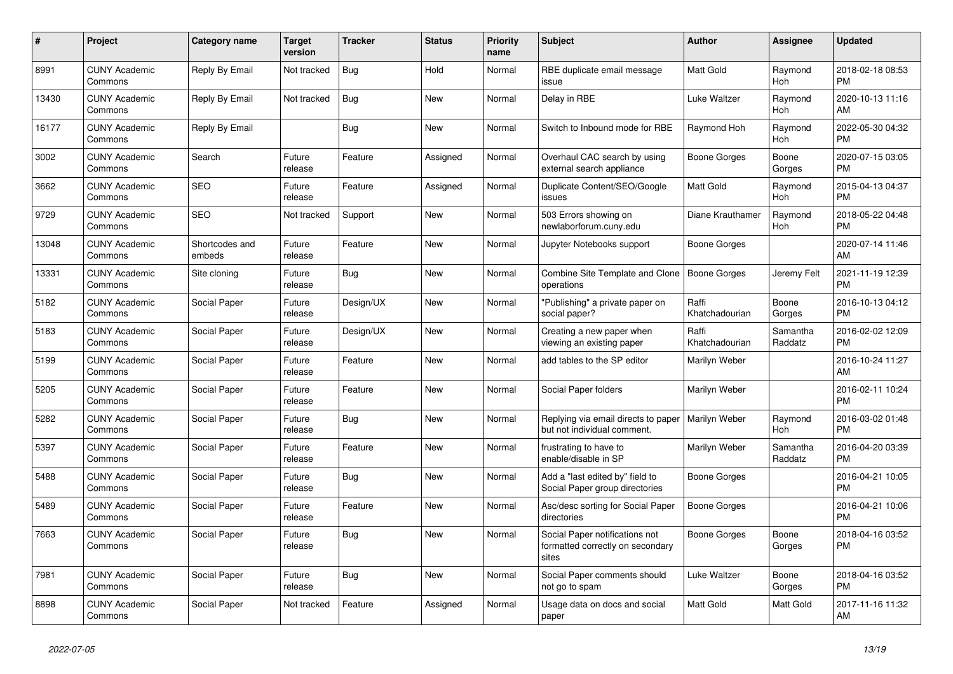| $\pmb{\#}$ | <b>Project</b>                  | <b>Category name</b>     | <b>Target</b><br>version | <b>Tracker</b> | <b>Status</b> | <b>Priority</b><br>name | <b>Subject</b>                                                              | <b>Author</b>           | Assignee            | <b>Updated</b>                |
|------------|---------------------------------|--------------------------|--------------------------|----------------|---------------|-------------------------|-----------------------------------------------------------------------------|-------------------------|---------------------|-------------------------------|
| 8991       | <b>CUNY Academic</b><br>Commons | Reply By Email           | Not tracked              | <b>Bug</b>     | Hold          | Normal                  | RBE duplicate email message<br>issue                                        | <b>Matt Gold</b>        | Raymond<br>Hoh      | 2018-02-18 08:53<br><b>PM</b> |
| 13430      | <b>CUNY Academic</b><br>Commons | Reply By Email           | Not tracked              | <b>Bug</b>     | <b>New</b>    | Normal                  | Delay in RBE                                                                | Luke Waltzer            | Raymond<br>Hoh      | 2020-10-13 11:16<br>AM        |
| 16177      | <b>CUNY Academic</b><br>Commons | Reply By Email           |                          | Bug            | New           | Normal                  | Switch to Inbound mode for RBE                                              | Raymond Hoh             | Raymond<br>Hoh      | 2022-05-30 04:32<br><b>PM</b> |
| 3002       | <b>CUNY Academic</b><br>Commons | Search                   | Future<br>release        | Feature        | Assigned      | Normal                  | Overhaul CAC search by using<br>external search appliance                   | Boone Gorges            | Boone<br>Gorges     | 2020-07-15 03:05<br><b>PM</b> |
| 3662       | <b>CUNY Academic</b><br>Commons | <b>SEO</b>               | Future<br>release        | Feature        | Assigned      | Normal                  | Duplicate Content/SEO/Google<br>issues                                      | Matt Gold               | Raymond<br>Hoh      | 2015-04-13 04:37<br><b>PM</b> |
| 9729       | <b>CUNY Academic</b><br>Commons | <b>SEO</b>               | Not tracked              | Support        | New           | Normal                  | 503 Errors showing on<br>newlaborforum.cuny.edu                             | Diane Krauthamer        | Raymond<br>Hoh      | 2018-05-22 04:48<br><b>PM</b> |
| 13048      | <b>CUNY Academic</b><br>Commons | Shortcodes and<br>embeds | Future<br>release        | Feature        | <b>New</b>    | Normal                  | Jupyter Notebooks support                                                   | Boone Gorges            |                     | 2020-07-14 11:46<br>AM        |
| 13331      | <b>CUNY Academic</b><br>Commons | Site cloning             | Future<br>release        | Bug            | <b>New</b>    | Normal                  | Combine Site Template and Clone<br>operations                               | Boone Gorges            | Jeremy Felt         | 2021-11-19 12:39<br><b>PM</b> |
| 5182       | <b>CUNY Academic</b><br>Commons | Social Paper             | Future<br>release        | Design/UX      | New           | Normal                  | "Publishing" a private paper on<br>social paper?                            | Raffi<br>Khatchadourian | Boone<br>Gorges     | 2016-10-13 04:12<br><b>PM</b> |
| 5183       | <b>CUNY Academic</b><br>Commons | Social Paper             | Future<br>release        | Design/UX      | <b>New</b>    | Normal                  | Creating a new paper when<br>viewing an existing paper                      | Raffi<br>Khatchadourian | Samantha<br>Raddatz | 2016-02-02 12:09<br><b>PM</b> |
| 5199       | <b>CUNY Academic</b><br>Commons | Social Paper             | Future<br>release        | Feature        | <b>New</b>    | Normal                  | add tables to the SP editor                                                 | Marilyn Weber           |                     | 2016-10-24 11:27<br>AM        |
| 5205       | <b>CUNY Academic</b><br>Commons | Social Paper             | Future<br>release        | Feature        | New           | Normal                  | Social Paper folders                                                        | Marilyn Weber           |                     | 2016-02-11 10:24<br><b>PM</b> |
| 5282       | <b>CUNY Academic</b><br>Commons | Social Paper             | Future<br>release        | <b>Bug</b>     | New           | Normal                  | Replying via email directs to paper<br>but not individual comment.          | Marilyn Weber           | Raymond<br>Hoh      | 2016-03-02 01:48<br><b>PM</b> |
| 5397       | <b>CUNY Academic</b><br>Commons | Social Paper             | Future<br>release        | Feature        | <b>New</b>    | Normal                  | frustrating to have to<br>enable/disable in SP                              | Marilyn Weber           | Samantha<br>Raddatz | 2016-04-20 03:39<br><b>PM</b> |
| 5488       | <b>CUNY Academic</b><br>Commons | Social Paper             | Future<br>release        | Bug            | <b>New</b>    | Normal                  | Add a "last edited by" field to<br>Social Paper group directories           | Boone Gorges            |                     | 2016-04-21 10:05<br><b>PM</b> |
| 5489       | <b>CUNY Academic</b><br>Commons | Social Paper             | Future<br>release        | Feature        | <b>New</b>    | Normal                  | Asc/desc sorting for Social Paper<br>directories                            | Boone Gorges            |                     | 2016-04-21 10:06<br><b>PM</b> |
| 7663       | <b>CUNY Academic</b><br>Commons | Social Paper             | Future<br>release        | Bug            | <b>New</b>    | Normal                  | Social Paper notifications not<br>formatted correctly on secondary<br>sites | <b>Boone Gorges</b>     | Boone<br>Gorges     | 2018-04-16 03:52<br><b>PM</b> |
| 7981       | <b>CUNY Academic</b><br>Commons | Social Paper             | Future<br>release        | <b>Bug</b>     | New           | Normal                  | Social Paper comments should<br>not go to spam                              | Luke Waltzer            | Boone<br>Gorges     | 2018-04-16 03:52<br><b>PM</b> |
| 8898       | <b>CUNY Academic</b><br>Commons | Social Paper             | Not tracked              | Feature        | Assigned      | Normal                  | Usage data on docs and social<br>paper                                      | Matt Gold               | Matt Gold           | 2017-11-16 11:32<br>AM        |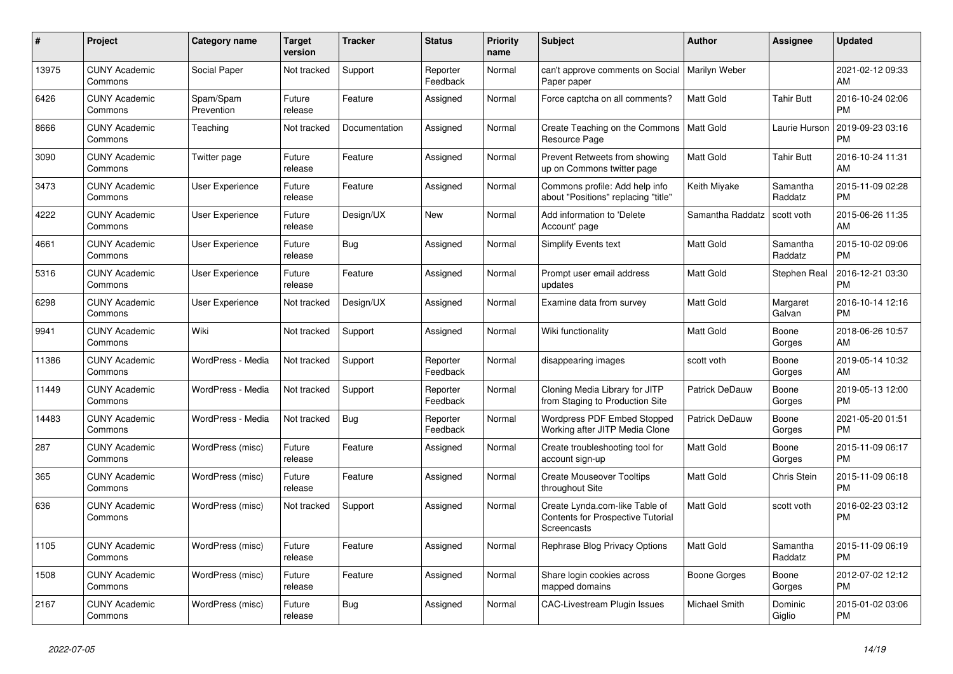| #     | Project                         | <b>Category name</b>    | <b>Target</b><br>version | <b>Tracker</b> | <b>Status</b>        | <b>Priority</b><br>name | <b>Subject</b>                                                                            | <b>Author</b>         | Assignee            | <b>Updated</b>                |
|-------|---------------------------------|-------------------------|--------------------------|----------------|----------------------|-------------------------|-------------------------------------------------------------------------------------------|-----------------------|---------------------|-------------------------------|
| 13975 | <b>CUNY Academic</b><br>Commons | Social Paper            | Not tracked              | Support        | Reporter<br>Feedback | Normal                  | can't approve comments on Social<br>Paper paper                                           | Marilyn Weber         |                     | 2021-02-12 09:33<br>AM        |
| 6426  | <b>CUNY Academic</b><br>Commons | Spam/Spam<br>Prevention | Future<br>release        | Feature        | Assigned             | Normal                  | Force captcha on all comments?                                                            | <b>Matt Gold</b>      | <b>Tahir Butt</b>   | 2016-10-24 02:06<br><b>PM</b> |
| 8666  | <b>CUNY Academic</b><br>Commons | Teaching                | Not tracked              | Documentation  | Assigned             | Normal                  | Create Teaching on the Commons<br>Resource Page                                           | <b>Matt Gold</b>      | Laurie Hurson       | 2019-09-23 03:16<br><b>PM</b> |
| 3090  | <b>CUNY Academic</b><br>Commons | Twitter page            | Future<br>release        | Feature        | Assigned             | Normal                  | Prevent Retweets from showing<br>up on Commons twitter page                               | <b>Matt Gold</b>      | <b>Tahir Butt</b>   | 2016-10-24 11:31<br>AM        |
| 3473  | <b>CUNY Academic</b><br>Commons | <b>User Experience</b>  | Future<br>release        | Feature        | Assigned             | Normal                  | Commons profile: Add help info<br>about "Positions" replacing "title"                     | Keith Miyake          | Samantha<br>Raddatz | 2015-11-09 02:28<br><b>PM</b> |
| 4222  | <b>CUNY Academic</b><br>Commons | User Experience         | Future<br>release        | Design/UX      | New                  | Normal                  | Add information to 'Delete<br>Account' page                                               | Samantha Raddatz      | scott voth          | 2015-06-26 11:35<br>AM        |
| 4661  | <b>CUNY Academic</b><br>Commons | User Experience         | Future<br>release        | Bug            | Assigned             | Normal                  | <b>Simplify Events text</b>                                                               | <b>Matt Gold</b>      | Samantha<br>Raddatz | 2015-10-02 09:06<br><b>PM</b> |
| 5316  | <b>CUNY Academic</b><br>Commons | User Experience         | Future<br>release        | Feature        | Assigned             | Normal                  | Prompt user email address<br>updates                                                      | <b>Matt Gold</b>      | Stephen Real        | 2016-12-21 03:30<br><b>PM</b> |
| 6298  | <b>CUNY Academic</b><br>Commons | <b>User Experience</b>  | Not tracked              | Design/UX      | Assigned             | Normal                  | Examine data from survey                                                                  | Matt Gold             | Margaret<br>Galvan  | 2016-10-14 12:16<br><b>PM</b> |
| 9941  | <b>CUNY Academic</b><br>Commons | Wiki                    | Not tracked              | Support        | Assigned             | Normal                  | Wiki functionality                                                                        | <b>Matt Gold</b>      | Boone<br>Gorges     | 2018-06-26 10:57<br>AM        |
| 11386 | <b>CUNY Academic</b><br>Commons | WordPress - Media       | Not tracked              | Support        | Reporter<br>Feedback | Normal                  | disappearing images                                                                       | scott voth            | Boone<br>Gorges     | 2019-05-14 10:32<br>AM        |
| 11449 | <b>CUNY Academic</b><br>Commons | WordPress - Media       | Not tracked              | Support        | Reporter<br>Feedback | Normal                  | Cloning Media Library for JITP<br>from Staging to Production Site                         | <b>Patrick DeDauw</b> | Boone<br>Gorges     | 2019-05-13 12:00<br><b>PM</b> |
| 14483 | <b>CUNY Academic</b><br>Commons | WordPress - Media       | Not tracked              | <b>Bug</b>     | Reporter<br>Feedback | Normal                  | <b>Wordpress PDF Embed Stopped</b><br>Working after JITP Media Clone                      | Patrick DeDauw        | Boone<br>Gorges     | 2021-05-20 01:51<br><b>PM</b> |
| 287   | <b>CUNY Academic</b><br>Commons | WordPress (misc)        | Future<br>release        | Feature        | Assigned             | Normal                  | Create troubleshooting tool for<br>account sign-up                                        | <b>Matt Gold</b>      | Boone<br>Gorges     | 2015-11-09 06:17<br><b>PM</b> |
| 365   | <b>CUNY Academic</b><br>Commons | WordPress (misc)        | Future<br>release        | Feature        | Assigned             | Normal                  | <b>Create Mouseover Tooltips</b><br>throughout Site                                       | Matt Gold             | <b>Chris Stein</b>  | 2015-11-09 06:18<br><b>PM</b> |
| 636   | <b>CUNY Academic</b><br>Commons | WordPress (misc)        | Not tracked              | Support        | Assigned             | Normal                  | Create Lynda.com-like Table of<br>Contents for Prospective Tutorial<br><b>Screencasts</b> | Matt Gold             | scott voth          | 2016-02-23 03:12<br><b>PM</b> |
| 1105  | <b>CUNY Academic</b><br>Commons | WordPress (misc)        | Future<br>release        | Feature        | Assigned             | Normal                  | Rephrase Blog Privacy Options                                                             | Matt Gold             | Samantha<br>Raddatz | 2015-11-09 06:19<br><b>PM</b> |
| 1508  | <b>CUNY Academic</b><br>Commons | WordPress (misc)        | Future<br>release        | Feature        | Assigned             | Normal                  | Share login cookies across<br>mapped domains                                              | Boone Gorges          | Boone<br>Gorges     | 2012-07-02 12:12<br><b>PM</b> |
| 2167  | <b>CUNY Academic</b><br>Commons | WordPress (misc)        | Future<br>release        | <b>Bug</b>     | Assigned             | Normal                  | <b>CAC-Livestream Plugin Issues</b>                                                       | Michael Smith         | Dominic<br>Giglio   | 2015-01-02 03:06<br><b>PM</b> |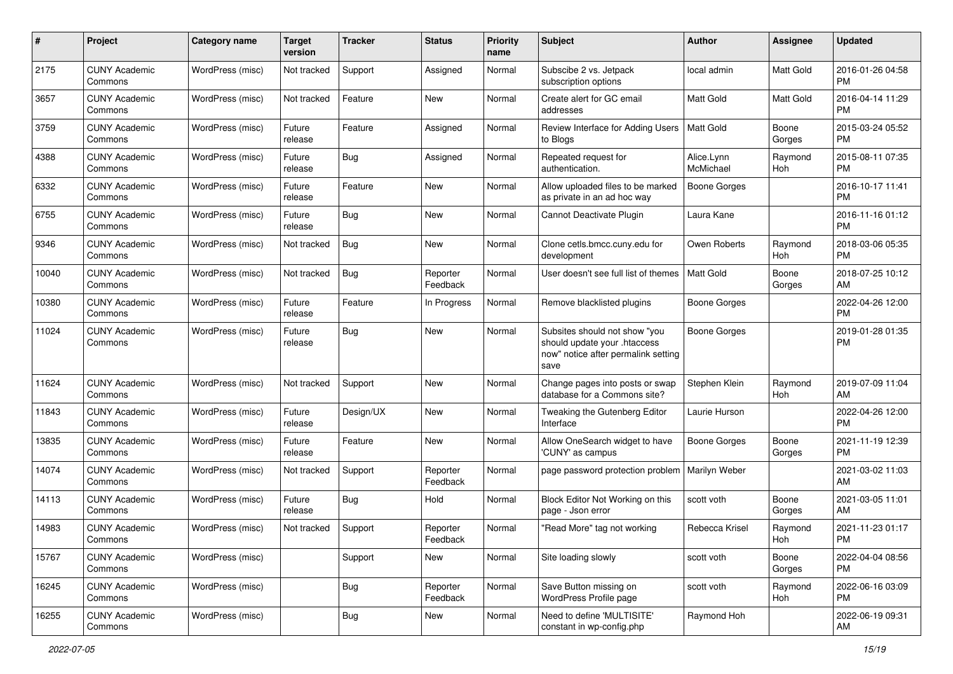| #     | Project                         | <b>Category name</b> | <b>Target</b><br>version | <b>Tracker</b> | <b>Status</b>        | <b>Priority</b><br>name | Subject                                                                                                      | Author                  | Assignee        | <b>Updated</b>                |
|-------|---------------------------------|----------------------|--------------------------|----------------|----------------------|-------------------------|--------------------------------------------------------------------------------------------------------------|-------------------------|-----------------|-------------------------------|
| 2175  | <b>CUNY Academic</b><br>Commons | WordPress (misc)     | Not tracked              | Support        | Assigned             | Normal                  | Subscibe 2 vs. Jetpack<br>subscription options                                                               | local admin             | Matt Gold       | 2016-01-26 04:58<br><b>PM</b> |
| 3657  | <b>CUNY Academic</b><br>Commons | WordPress (misc)     | Not tracked              | Feature        | New                  | Normal                  | Create alert for GC email<br>addresses                                                                       | <b>Matt Gold</b>        | Matt Gold       | 2016-04-14 11:29<br><b>PM</b> |
| 3759  | <b>CUNY Academic</b><br>Commons | WordPress (misc)     | Future<br>release        | Feature        | Assigned             | Normal                  | Review Interface for Adding Users<br>to Blogs                                                                | <b>Matt Gold</b>        | Boone<br>Gorges | 2015-03-24 05:52<br><b>PM</b> |
| 4388  | <b>CUNY Academic</b><br>Commons | WordPress (misc)     | Future<br>release        | Bug            | Assigned             | Normal                  | Repeated request for<br>authentication.                                                                      | Alice.Lynn<br>McMichael | Raymond<br>Hoh  | 2015-08-11 07:35<br><b>PM</b> |
| 6332  | <b>CUNY Academic</b><br>Commons | WordPress (misc)     | Future<br>release        | Feature        | New                  | Normal                  | Allow uploaded files to be marked<br>as private in an ad hoc way                                             | <b>Boone Gorges</b>     |                 | 2016-10-17 11:41<br><b>PM</b> |
| 6755  | <b>CUNY Academic</b><br>Commons | WordPress (misc)     | Future<br>release        | Bug            | New                  | Normal                  | Cannot Deactivate Plugin                                                                                     | Laura Kane              |                 | 2016-11-16 01:12<br><b>PM</b> |
| 9346  | <b>CUNY Academic</b><br>Commons | WordPress (misc)     | Not tracked              | Bug            | New                  | Normal                  | Clone cetls.bmcc.cuny.edu for<br>development                                                                 | Owen Roberts            | Raymond<br>Hoh  | 2018-03-06 05:35<br><b>PM</b> |
| 10040 | <b>CUNY Academic</b><br>Commons | WordPress (misc)     | Not tracked              | <b>Bug</b>     | Reporter<br>Feedback | Normal                  | User doesn't see full list of themes                                                                         | <b>Matt Gold</b>        | Boone<br>Gorges | 2018-07-25 10:12<br>AM        |
| 10380 | <b>CUNY Academic</b><br>Commons | WordPress (misc)     | Future<br>release        | Feature        | In Progress          | Normal                  | Remove blacklisted plugins                                                                                   | <b>Boone Gorges</b>     |                 | 2022-04-26 12:00<br><b>PM</b> |
| 11024 | <b>CUNY Academic</b><br>Commons | WordPress (misc)     | Future<br>release        | Bug            | New                  | Normal                  | Subsites should not show "you<br>should update your .htaccess<br>now" notice after permalink setting<br>save | <b>Boone Gorges</b>     |                 | 2019-01-28 01:35<br><b>PM</b> |
| 11624 | <b>CUNY Academic</b><br>Commons | WordPress (misc)     | Not tracked              | Support        | New                  | Normal                  | Change pages into posts or swap<br>database for a Commons site?                                              | Stephen Klein           | Raymond<br>Hoh  | 2019-07-09 11:04<br>AM        |
| 11843 | <b>CUNY Academic</b><br>Commons | WordPress (misc)     | Future<br>release        | Design/UX      | New                  | Normal                  | Tweaking the Gutenberg Editor<br>Interface                                                                   | Laurie Hurson           |                 | 2022-04-26 12:00<br><b>PM</b> |
| 13835 | <b>CUNY Academic</b><br>Commons | WordPress (misc)     | Future<br>release        | Feature        | New                  | Normal                  | Allow OneSearch widget to have<br>'CUNY' as campus                                                           | Boone Gorges            | Boone<br>Gorges | 2021-11-19 12:39<br><b>PM</b> |
| 14074 | <b>CUNY Academic</b><br>Commons | WordPress (misc)     | Not tracked              | Support        | Reporter<br>Feedback | Normal                  | page password protection problem                                                                             | Marilyn Weber           |                 | 2021-03-02 11:03<br>AM        |
| 14113 | <b>CUNY Academic</b><br>Commons | WordPress (misc)     | Future<br>release        | Bug            | Hold                 | Normal                  | Block Editor Not Working on this<br>page - Json error                                                        | scott voth              | Boone<br>Gorges | 2021-03-05 11:01<br>AM        |
| 14983 | CUNY Academic<br>Commons        | WordPress (misc)     | Not tracked              | Support        | Reporter<br>Feedback | Normal                  | "Read More" tag not working                                                                                  | Rebecca Krisel          | Raymond<br>Hoh  | 2021-11-23 01:17<br>PM        |
| 15767 | <b>CUNY Academic</b><br>Commons | WordPress (misc)     |                          | Support        | New                  | Normal                  | Site loading slowly                                                                                          | scott voth              | Boone<br>Gorges | 2022-04-04 08:56<br>PM        |
| 16245 | <b>CUNY Academic</b><br>Commons | WordPress (misc)     |                          | <b>Bug</b>     | Reporter<br>Feedback | Normal                  | Save Button missing on<br>WordPress Profile page                                                             | scott voth              | Raymond<br>Hoh  | 2022-06-16 03:09<br><b>PM</b> |
| 16255 | <b>CUNY Academic</b><br>Commons | WordPress (misc)     |                          | <b>Bug</b>     | New                  | Normal                  | Need to define 'MULTISITE'<br>constant in wp-config.php                                                      | Raymond Hoh             |                 | 2022-06-19 09:31<br>AM        |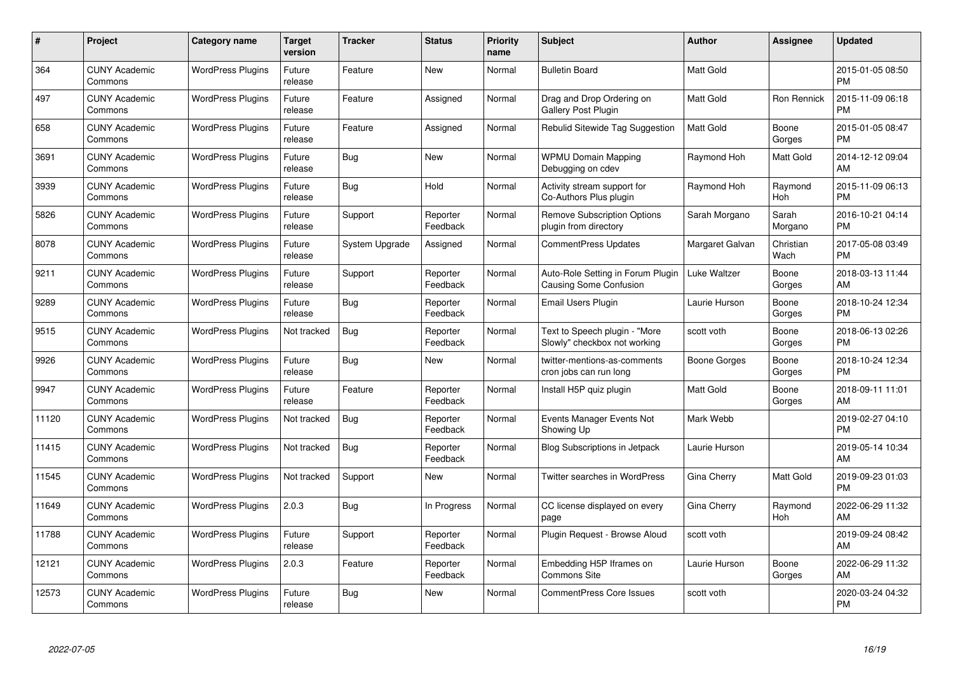| #     | Project                         | <b>Category name</b>     | <b>Target</b><br>version | <b>Tracker</b> | <b>Status</b>        | Priority<br>name | <b>Subject</b>                                                | <b>Author</b>    | <b>Assignee</b>   | <b>Updated</b>                |
|-------|---------------------------------|--------------------------|--------------------------|----------------|----------------------|------------------|---------------------------------------------------------------|------------------|-------------------|-------------------------------|
| 364   | <b>CUNY Academic</b><br>Commons | <b>WordPress Plugins</b> | Future<br>release        | Feature        | <b>New</b>           | Normal           | <b>Bulletin Board</b>                                         | <b>Matt Gold</b> |                   | 2015-01-05 08:50<br><b>PM</b> |
| 497   | <b>CUNY Academic</b><br>Commons | <b>WordPress Plugins</b> | Future<br>release        | Feature        | Assigned             | Normal           | Drag and Drop Ordering on<br><b>Gallery Post Plugin</b>       | <b>Matt Gold</b> | Ron Rennick       | 2015-11-09 06:18<br><b>PM</b> |
| 658   | <b>CUNY Academic</b><br>Commons | <b>WordPress Plugins</b> | Future<br>release        | Feature        | Assigned             | Normal           | Rebulid Sitewide Tag Suggestion                               | <b>Matt Gold</b> | Boone<br>Gorges   | 2015-01-05 08:47<br><b>PM</b> |
| 3691  | <b>CUNY Academic</b><br>Commons | <b>WordPress Plugins</b> | Future<br>release        | Bug            | <b>New</b>           | Normal           | <b>WPMU Domain Mapping</b><br>Debugging on cdev               | Raymond Hoh      | Matt Gold         | 2014-12-12 09:04<br>AM        |
| 3939  | <b>CUNY Academic</b><br>Commons | <b>WordPress Plugins</b> | Future<br>release        | Bug            | Hold                 | Normal           | Activity stream support for<br>Co-Authors Plus plugin         | Raymond Hoh      | Raymond<br>Hoh    | 2015-11-09 06:13<br><b>PM</b> |
| 5826  | <b>CUNY Academic</b><br>Commons | <b>WordPress Plugins</b> | Future<br>release        | Support        | Reporter<br>Feedback | Normal           | <b>Remove Subscription Options</b><br>plugin from directory   | Sarah Morgano    | Sarah<br>Morgano  | 2016-10-21 04:14<br><b>PM</b> |
| 8078  | <b>CUNY Academic</b><br>Commons | <b>WordPress Plugins</b> | Future<br>release        | System Upgrade | Assigned             | Normal           | <b>CommentPress Updates</b>                                   | Margaret Galvan  | Christian<br>Wach | 2017-05-08 03:49<br><b>PM</b> |
| 9211  | <b>CUNY Academic</b><br>Commons | <b>WordPress Plugins</b> | Future<br>release        | Support        | Reporter<br>Feedback | Normal           | Auto-Role Setting in Forum Plugin<br>Causing Some Confusion   | Luke Waltzer     | Boone<br>Gorges   | 2018-03-13 11:44<br>AM        |
| 9289  | <b>CUNY Academic</b><br>Commons | <b>WordPress Plugins</b> | Future<br>release        | Bug            | Reporter<br>Feedback | Normal           | Email Users Plugin                                            | Laurie Hurson    | Boone<br>Gorges   | 2018-10-24 12:34<br><b>PM</b> |
| 9515  | <b>CUNY Academic</b><br>Commons | <b>WordPress Plugins</b> | Not tracked              | Bug            | Reporter<br>Feedback | Normal           | Text to Speech plugin - "More<br>Slowly" checkbox not working | scott voth       | Boone<br>Gorges   | 2018-06-13 02:26<br><b>PM</b> |
| 9926  | <b>CUNY Academic</b><br>Commons | <b>WordPress Plugins</b> | Future<br>release        | Bug            | New                  | Normal           | twitter-mentions-as-comments<br>cron jobs can run long        | Boone Gorges     | Boone<br>Gorges   | 2018-10-24 12:34<br><b>PM</b> |
| 9947  | <b>CUNY Academic</b><br>Commons | <b>WordPress Plugins</b> | Future<br>release        | Feature        | Reporter<br>Feedback | Normal           | Install H5P quiz plugin                                       | Matt Gold        | Boone<br>Gorges   | 2018-09-11 11:01<br>AM        |
| 11120 | <b>CUNY Academic</b><br>Commons | <b>WordPress Plugins</b> | Not tracked              | Bug            | Reporter<br>Feedback | Normal           | Events Manager Events Not<br>Showing Up                       | Mark Webb        |                   | 2019-02-27 04:10<br><b>PM</b> |
| 11415 | <b>CUNY Academic</b><br>Commons | <b>WordPress Plugins</b> | Not tracked              | Bug            | Reporter<br>Feedback | Normal           | Blog Subscriptions in Jetpack                                 | Laurie Hurson    |                   | 2019-05-14 10:34<br>AM        |
| 11545 | <b>CUNY Academic</b><br>Commons | <b>WordPress Plugins</b> | Not tracked              | Support        | New                  | Normal           | Twitter searches in WordPress                                 | Gina Cherry      | Matt Gold         | 2019-09-23 01:03<br><b>PM</b> |
| 11649 | <b>CUNY Academic</b><br>Commons | <b>WordPress Plugins</b> | 2.0.3                    | Bug            | In Progress          | Normal           | CC license displayed on every<br>page                         | Gina Cherry      | Raymond<br>Hoh    | 2022-06-29 11:32<br>AM        |
| 11788 | <b>CUNY Academic</b><br>Commons | <b>WordPress Plugins</b> | Future<br>release        | Support        | Reporter<br>Feedback | Normal           | Plugin Request - Browse Aloud                                 | scott voth       |                   | 2019-09-24 08:42<br>AM        |
| 12121 | <b>CUNY Academic</b><br>Commons | <b>WordPress Plugins</b> | 2.0.3                    | Feature        | Reporter<br>Feedback | Normal           | Embedding H5P Iframes on<br><b>Commons Site</b>               | Laurie Hurson    | Boone<br>Gorges   | 2022-06-29 11:32<br>AM        |
| 12573 | CUNY Academic<br>Commons        | <b>WordPress Plugins</b> | Future<br>release        | Bug            | <b>New</b>           | Normal           | <b>CommentPress Core Issues</b>                               | scott voth       |                   | 2020-03-24 04:32<br><b>PM</b> |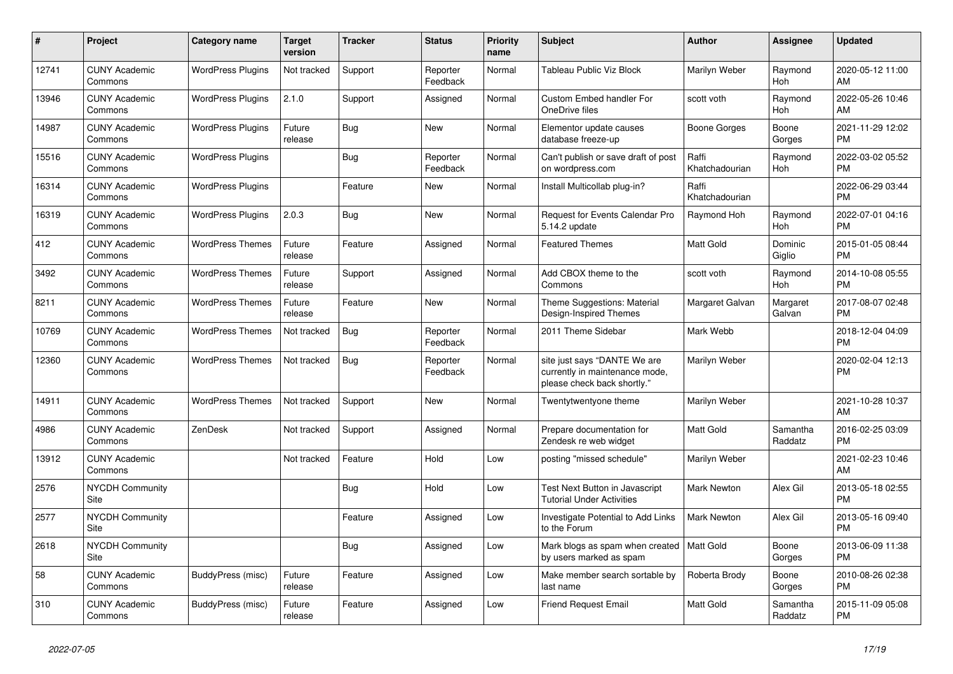| #     | Project                               | Category name            | <b>Target</b><br>version | <b>Tracker</b> | <b>Status</b>        | <b>Priority</b><br>name | <b>Subject</b>                                                                                | <b>Author</b>           | Assignee            | <b>Updated</b>                |
|-------|---------------------------------------|--------------------------|--------------------------|----------------|----------------------|-------------------------|-----------------------------------------------------------------------------------------------|-------------------------|---------------------|-------------------------------|
| 12741 | <b>CUNY Academic</b><br>Commons       | <b>WordPress Plugins</b> | Not tracked              | Support        | Reporter<br>Feedback | Normal                  | <b>Tableau Public Viz Block</b>                                                               | Marilyn Weber           | Raymond<br>Hoh      | 2020-05-12 11:00<br>AM        |
| 13946 | <b>CUNY Academic</b><br>Commons       | <b>WordPress Plugins</b> | 2.1.0                    | Support        | Assigned             | Normal                  | <b>Custom Embed handler For</b><br>OneDrive files                                             | scott voth              | Raymond<br>Hoh      | 2022-05-26 10:46<br>AM        |
| 14987 | <b>CUNY Academic</b><br>Commons       | <b>WordPress Plugins</b> | Future<br>release        | Bug            | <b>New</b>           | Normal                  | Elementor update causes<br>database freeze-up                                                 | Boone Gorges            | Boone<br>Gorges     | 2021-11-29 12:02<br><b>PM</b> |
| 15516 | <b>CUNY Academic</b><br>Commons       | <b>WordPress Plugins</b> |                          | Bug            | Reporter<br>Feedback | Normal                  | Can't publish or save draft of post<br>on wordpress.com                                       | Raffi<br>Khatchadourian | Raymond<br>Hoh      | 2022-03-02 05:52<br><b>PM</b> |
| 16314 | <b>CUNY Academic</b><br>Commons       | <b>WordPress Plugins</b> |                          | Feature        | New                  | Normal                  | Install Multicollab plug-in?                                                                  | Raffi<br>Khatchadourian |                     | 2022-06-29 03:44<br><b>PM</b> |
| 16319 | <b>CUNY Academic</b><br>Commons       | <b>WordPress Plugins</b> | 2.0.3                    | Bug            | <b>New</b>           | Normal                  | Request for Events Calendar Pro<br>5.14.2 update                                              | Raymond Hoh             | Raymond<br>Hoh      | 2022-07-01 04:16<br><b>PM</b> |
| 412   | <b>CUNY Academic</b><br>Commons       | <b>WordPress Themes</b>  | Future<br>release        | Feature        | Assigned             | Normal                  | <b>Featured Themes</b>                                                                        | <b>Matt Gold</b>        | Dominic<br>Giglio   | 2015-01-05 08:44<br><b>PM</b> |
| 3492  | <b>CUNY Academic</b><br>Commons       | <b>WordPress Themes</b>  | Future<br>release        | Support        | Assigned             | Normal                  | Add CBOX theme to the<br>Commons                                                              | scott voth              | Raymond<br>Hoh      | 2014-10-08 05:55<br><b>PM</b> |
| 8211  | <b>CUNY Academic</b><br>Commons       | <b>WordPress Themes</b>  | Future<br>release        | Feature        | <b>New</b>           | Normal                  | Theme Suggestions: Material<br>Design-Inspired Themes                                         | Margaret Galvan         | Margaret<br>Galvan  | 2017-08-07 02:48<br><b>PM</b> |
| 10769 | <b>CUNY Academic</b><br>Commons       | <b>WordPress Themes</b>  | Not tracked              | Bug            | Reporter<br>Feedback | Normal                  | 2011 Theme Sidebar                                                                            | Mark Webb               |                     | 2018-12-04 04:09<br><b>PM</b> |
| 12360 | <b>CUNY Academic</b><br>Commons       | <b>WordPress Themes</b>  | Not tracked              | <b>Bug</b>     | Reporter<br>Feedback | Normal                  | site just says "DANTE We are<br>currently in maintenance mode,<br>please check back shortly." | Marilyn Weber           |                     | 2020-02-04 12:13<br><b>PM</b> |
| 14911 | <b>CUNY Academic</b><br>Commons       | <b>WordPress Themes</b>  | Not tracked              | Support        | New                  | Normal                  | Twentytwentyone theme                                                                         | Marilyn Weber           |                     | 2021-10-28 10:37<br>AM        |
| 4986  | <b>CUNY Academic</b><br>Commons       | ZenDesk                  | Not tracked              | Support        | Assigned             | Normal                  | Prepare documentation for<br>Zendesk re web widget                                            | <b>Matt Gold</b>        | Samantha<br>Raddatz | 2016-02-25 03:09<br><b>PM</b> |
| 13912 | <b>CUNY Academic</b><br>Commons       |                          | Not tracked              | Feature        | Hold                 | Low                     | posting "missed schedule"                                                                     | Marilyn Weber           |                     | 2021-02-23 10:46<br>AM        |
| 2576  | <b>NYCDH Community</b><br><b>Site</b> |                          |                          | <b>Bug</b>     | Hold                 | Low                     | <b>Test Next Button in Javascript</b><br><b>Tutorial Under Activities</b>                     | Mark Newton             | Alex Gil            | 2013-05-18 02:55<br><b>PM</b> |
| 2577  | <b>NYCDH Community</b><br><b>Site</b> |                          |                          | Feature        | Assigned             | Low                     | Investigate Potential to Add Links<br>to the Forum                                            | <b>Mark Newton</b>      | Alex Gil            | 2013-05-16 09:40<br><b>PM</b> |
| 2618  | <b>NYCDH Community</b><br>Site        |                          |                          | Bug            | Assigned             | Low                     | Mark blogs as spam when created<br>by users marked as spam                                    | <b>Matt Gold</b>        | Boone<br>Gorges     | 2013-06-09 11:38<br><b>PM</b> |
| 58    | <b>CUNY Academic</b><br>Commons       | BuddyPress (misc)        | Future<br>release        | Feature        | Assigned             | Low                     | Make member search sortable by<br>last name                                                   | Roberta Brody           | Boone<br>Gorges     | 2010-08-26 02:38<br><b>PM</b> |
| 310   | <b>CUNY Academic</b><br>Commons       | BuddyPress (misc)        | Future<br>release        | Feature        | Assigned             | Low                     | <b>Friend Request Email</b>                                                                   | <b>Matt Gold</b>        | Samantha<br>Raddatz | 2015-11-09 05:08<br><b>PM</b> |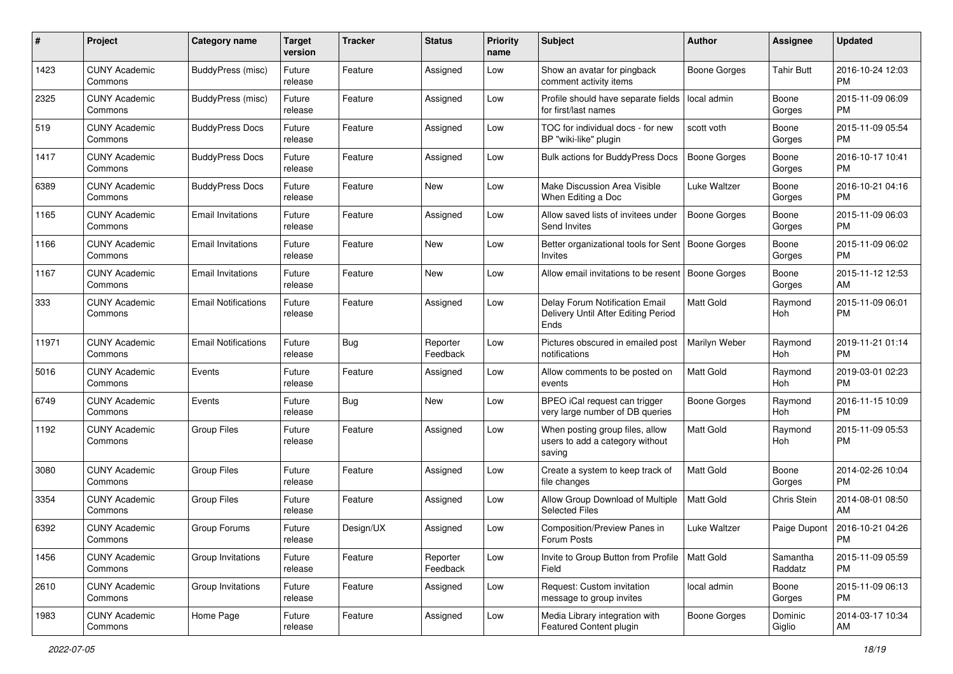| #     | Project                         | <b>Category name</b>       | <b>Target</b><br>version | <b>Tracker</b> | <b>Status</b>        | Priority<br>name | <b>Subject</b>                                                                | <b>Author</b>       | <b>Assignee</b>     | <b>Updated</b>                |
|-------|---------------------------------|----------------------------|--------------------------|----------------|----------------------|------------------|-------------------------------------------------------------------------------|---------------------|---------------------|-------------------------------|
| 1423  | <b>CUNY Academic</b><br>Commons | BuddyPress (misc)          | Future<br>release        | Feature        | Assigned             | Low              | Show an avatar for pingback<br>comment activity items                         | Boone Gorges        | <b>Tahir Butt</b>   | 2016-10-24 12:03<br>PM.       |
| 2325  | <b>CUNY Academic</b><br>Commons | <b>BuddyPress (misc)</b>   | Future<br>release        | Feature        | Assigned             | Low              | Profile should have separate fields<br>for first/last names                   | local admin         | Boone<br>Gorges     | 2015-11-09 06:09<br><b>PM</b> |
| 519   | <b>CUNY Academic</b><br>Commons | <b>BuddyPress Docs</b>     | Future<br>release        | Feature        | Assigned             | Low              | TOC for individual docs - for new<br>BP "wiki-like" plugin                    | scott voth          | Boone<br>Gorges     | 2015-11-09 05:54<br><b>PM</b> |
| 1417  | <b>CUNY Academic</b><br>Commons | <b>BuddyPress Docs</b>     | Future<br>release        | Feature        | Assigned             | Low              | <b>Bulk actions for BuddyPress Docs</b>                                       | <b>Boone Gorges</b> | Boone<br>Gorges     | 2016-10-17 10:41<br>PM.       |
| 6389  | <b>CUNY Academic</b><br>Commons | <b>BuddyPress Docs</b>     | Future<br>release        | Feature        | New                  | Low              | Make Discussion Area Visible<br>When Editing a Doc                            | Luke Waltzer        | Boone<br>Gorges     | 2016-10-21 04:16<br><b>PM</b> |
| 1165  | <b>CUNY Academic</b><br>Commons | <b>Email Invitations</b>   | Future<br>release        | Feature        | Assigned             | Low              | Allow saved lists of invitees under<br>Send Invites                           | <b>Boone Gorges</b> | Boone<br>Gorges     | 2015-11-09 06:03<br><b>PM</b> |
| 1166  | <b>CUNY Academic</b><br>Commons | <b>Email Invitations</b>   | Future<br>release        | Feature        | New                  | Low              | Better organizational tools for Sent<br>Invites                               | Boone Gorges        | Boone<br>Gorges     | 2015-11-09 06:02<br><b>PM</b> |
| 1167  | <b>CUNY Academic</b><br>Commons | <b>Email Invitations</b>   | Future<br>release        | Feature        | New                  | Low              | Allow email invitations to be resent                                          | Boone Gorges        | Boone<br>Gorges     | 2015-11-12 12:53<br>AM.       |
| 333   | <b>CUNY Academic</b><br>Commons | <b>Email Notifications</b> | Future<br>release        | Feature        | Assigned             | Low              | Delay Forum Notification Email<br>Delivery Until After Editing Period<br>Ends | Matt Gold           | Raymond<br>Hoh      | 2015-11-09 06:01<br><b>PM</b> |
| 11971 | <b>CUNY Academic</b><br>Commons | <b>Email Notifications</b> | Future<br>release        | <b>Bug</b>     | Reporter<br>Feedback | Low              | Pictures obscured in emailed post<br>notifications                            | Marilyn Weber       | Raymond<br>Hoh      | 2019-11-21 01:14<br><b>PM</b> |
| 5016  | <b>CUNY Academic</b><br>Commons | Events                     | Future<br>release        | Feature        | Assigned             | Low              | Allow comments to be posted on<br>events                                      | <b>Matt Gold</b>    | Raymond<br>Hoh      | 2019-03-01 02:23<br><b>PM</b> |
| 6749  | <b>CUNY Academic</b><br>Commons | Events                     | Future<br>release        | Bug            | New                  | Low              | BPEO iCal request can trigger<br>very large number of DB queries              | Boone Gorges        | Raymond<br>Hoh      | 2016-11-15 10:09<br><b>PM</b> |
| 1192  | <b>CUNY Academic</b><br>Commons | <b>Group Files</b>         | Future<br>release        | Feature        | Assigned             | Low              | When posting group files, allow<br>users to add a category without<br>saving  | <b>Matt Gold</b>    | Raymond<br>Hoh      | 2015-11-09 05:53<br><b>PM</b> |
| 3080  | <b>CUNY Academic</b><br>Commons | <b>Group Files</b>         | Future<br>release        | Feature        | Assigned             | Low              | Create a system to keep track of<br>file changes                              | <b>Matt Gold</b>    | Boone<br>Gorges     | 2014-02-26 10:04<br>PM.       |
| 3354  | <b>CUNY Academic</b><br>Commons | <b>Group Files</b>         | Future<br>release        | Feature        | Assigned             | Low              | Allow Group Download of Multiple<br><b>Selected Files</b>                     | <b>Matt Gold</b>    | Chris Stein         | 2014-08-01 08:50<br>AM.       |
| 6392  | <b>CUNY Academic</b><br>Commons | Group Forums               | Future<br>release        | Design/UX      | Assigned             | Low              | Composition/Preview Panes in<br>Forum Posts                                   | Luke Waltzer        | Paige Dupont        | 2016-10-21 04:26<br>PM        |
| 1456  | <b>CUNY Academic</b><br>Commons | Group Invitations          | Future<br>release        | Feature        | Reporter<br>Feedback | Low              | Invite to Group Button from Profile<br>Field                                  | Matt Gold           | Samantha<br>Raddatz | 2015-11-09 05:59<br><b>PM</b> |
| 2610  | <b>CUNY Academic</b><br>Commons | Group Invitations          | Future<br>release        | Feature        | Assigned             | Low              | Request: Custom invitation<br>message to group invites                        | local admin         | Boone<br>Gorges     | 2015-11-09 06:13<br><b>PM</b> |
| 1983  | <b>CUNY Academic</b><br>Commons | Home Page                  | Future<br>release        | Feature        | Assigned             | Low              | Media Library integration with<br>Featured Content plugin                     | Boone Gorges        | Dominic<br>Giglio   | 2014-03-17 10:34<br>AM        |